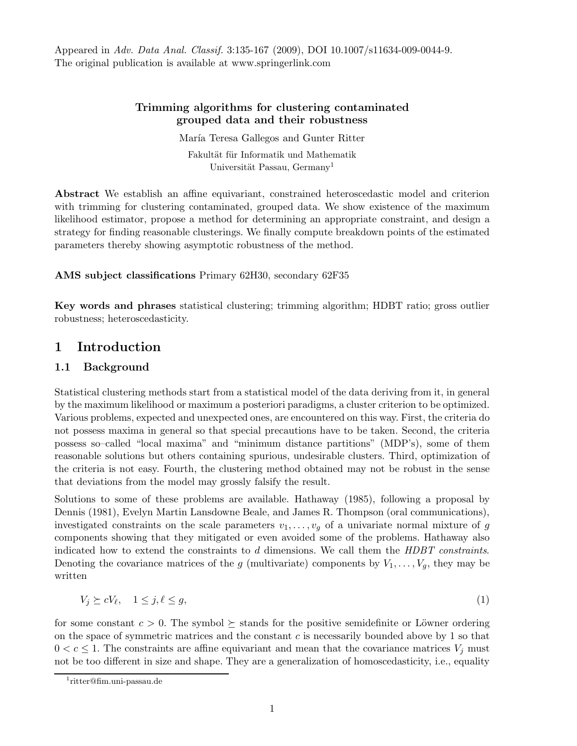Appeared in Adv. Data Anal. Classif. 3:135-167 (2009), DOI 10.1007/s11634-009-0044-9. The original publication is available at www.springerlink.com

### Trimming algorithms for clustering contaminated grouped data and their robustness

María Teresa Gallegos and Gunter Ritter Fakultät für Informatik und Mathematik Universität Passau, Germany<sup>1</sup>

Abstract We establish an affine equivariant, constrained heteroscedastic model and criterion with trimming for clustering contaminated, grouped data. We show existence of the maximum likelihood estimator, propose a method for determining an appropriate constraint, and design a strategy for finding reasonable clusterings. We finally compute breakdown points of the estimated parameters thereby showing asymptotic robustness of the method.

### AMS subject classifications Primary 62H30, secondary 62F35

Key words and phrases statistical clustering; trimming algorithm; HDBT ratio; gross outlier robustness; heteroscedasticity.

## 1 Introduction

### 1.1 Background

Statistical clustering methods start from a statistical model of the data deriving from it, in general by the maximum likelihood or maximum a posteriori paradigms, a cluster criterion to be optimized. Various problems, expected and unexpected ones, are encountered on this way. First, the criteria do not possess maxima in general so that special precautions have to be taken. Second, the criteria possess so–called "local maxima" and "minimum distance partitions" (MDP's), some of them reasonable solutions but others containing spurious, undesirable clusters. Third, optimization of the criteria is not easy. Fourth, the clustering method obtained may not be robust in the sense that deviations from the model may grossly falsify the result.

Solutions to some of these problems are available. Hathaway (1985), following a proposal by Dennis (1981), Evelyn Martin Lansdowne Beale, and James R. Thompson (oral communications), investigated constraints on the scale parameters  $v_1, \ldots, v_q$  of a univariate normal mixture of g components showing that they mitigated or even avoided some of the problems. Hathaway also indicated how to extend the constraints to d dimensions. We call them the HDBT constraints. Denoting the covariance matrices of the g (multivariate) components by  $V_1, \ldots, V_q$ , they may be written

$$
V_j \succeq cV_\ell, \quad 1 \le j, \ell \le g,\tag{1}
$$

for some constant  $c > 0$ . The symbol  $\succeq$  stands for the positive semidefinite or Löwner ordering on the space of symmetric matrices and the constant  $c$  is necessarily bounded above by 1 so that  $0 < c \leq 1$ . The constraints are affine equivariant and mean that the covariance matrices  $V_j$  must not be too different in size and shape. They are a generalization of homoscedasticity, i.e., equality

<sup>1</sup> ritter@fim.uni-passau.de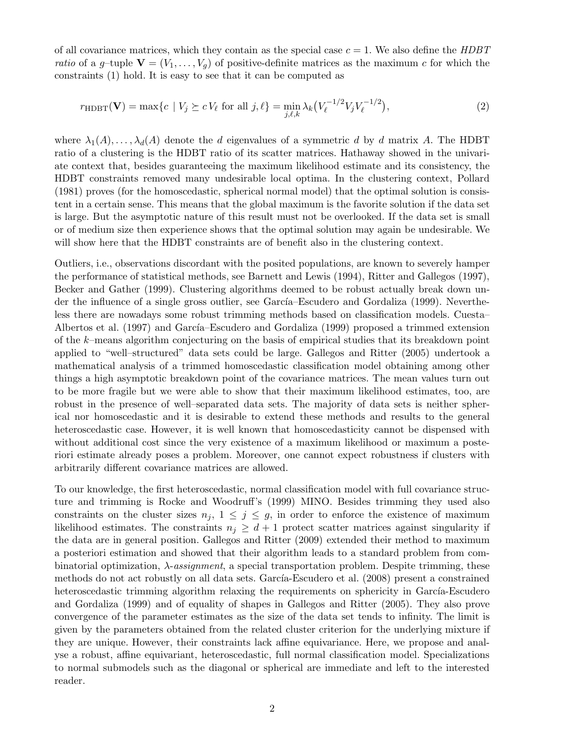of all covariance matrices, which they contain as the special case  $c = 1$ . We also define the HDBT ratio of a g-tuple  $\mathbf{V} = (V_1, \ldots, V_q)$  of positive-definite matrices as the maximum c for which the constraints (1) hold. It is easy to see that it can be computed as

$$
r_{\text{HDBT}}(\mathbf{V}) = \max\{c \mid V_j \succeq cV_\ell \text{ for all } j, \ell\} = \min_{j, \ell, k} \lambda_k \left(V_\ell^{-1/2} V_j V_\ell^{-1/2}\right),\tag{2}
$$

where  $\lambda_1(A), \ldots, \lambda_d(A)$  denote the d eigenvalues of a symmetric d by d matrix A. The HDBT ratio of a clustering is the HDBT ratio of its scatter matrices. Hathaway showed in the univariate context that, besides guaranteeing the maximum likelihood estimate and its consistency, the HDBT constraints removed many undesirable local optima. In the clustering context, Pollard (1981) proves (for the homoscedastic, spherical normal model) that the optimal solution is consistent in a certain sense. This means that the global maximum is the favorite solution if the data set is large. But the asymptotic nature of this result must not be overlooked. If the data set is small or of medium size then experience shows that the optimal solution may again be undesirable. We will show here that the HDBT constraints are of benefit also in the clustering context.

Outliers, i.e., observations discordant with the posited populations, are known to severely hamper the performance of statistical methods, see Barnett and Lewis (1994), Ritter and Gallegos (1997), Becker and Gather (1999). Clustering algorithms deemed to be robust actually break down under the influence of a single gross outlier, see García–Escudero and Gordaliza (1999). Nevertheless there are nowadays some robust trimming methods based on classification models. Cuesta– Albertos et al. (1997) and García–Escudero and Gordaliza (1999) proposed a trimmed extension of the k–means algorithm conjecturing on the basis of empirical studies that its breakdown point applied to "well–structured" data sets could be large. Gallegos and Ritter (2005) undertook a mathematical analysis of a trimmed homoscedastic classification model obtaining among other things a high asymptotic breakdown point of the covariance matrices. The mean values turn out to be more fragile but we were able to show that their maximum likelihood estimates, too, are robust in the presence of well–separated data sets. The majority of data sets is neither spherical nor homoscedastic and it is desirable to extend these methods and results to the general heteroscedastic case. However, it is well known that homoscedasticity cannot be dispensed with without additional cost since the very existence of a maximum likelihood or maximum a posteriori estimate already poses a problem. Moreover, one cannot expect robustness if clusters with arbitrarily different covariance matrices are allowed.

To our knowledge, the first heteroscedastic, normal classification model with full covariance structure and trimming is Rocke and Woodruff's (1999) MINO. Besides trimming they used also constraints on the cluster sizes  $n_j$ ,  $1 \leq j \leq g$ , in order to enforce the existence of maximum likelihood estimates. The constraints  $n_i \geq d+1$  protect scatter matrices against singularity if the data are in general position. Gallegos and Ritter (2009) extended their method to maximum a posteriori estimation and showed that their algorithm leads to a standard problem from combinatorial optimization,  $\lambda$ -assignment, a special transportation problem. Despite trimming, these methods do not act robustly on all data sets. García-Escudero et al. (2008) present a constrained heteroscedastic trimming algorithm relaxing the requirements on sphericity in García-Escudero and Gordaliza (1999) and of equality of shapes in Gallegos and Ritter (2005). They also prove convergence of the parameter estimates as the size of the data set tends to infinity. The limit is given by the parameters obtained from the related cluster criterion for the underlying mixture if they are unique. However, their constraints lack affine equivariance. Here, we propose and analyse a robust, affine equivariant, heteroscedastic, full normal classification model. Specializations to normal submodels such as the diagonal or spherical are immediate and left to the interested reader.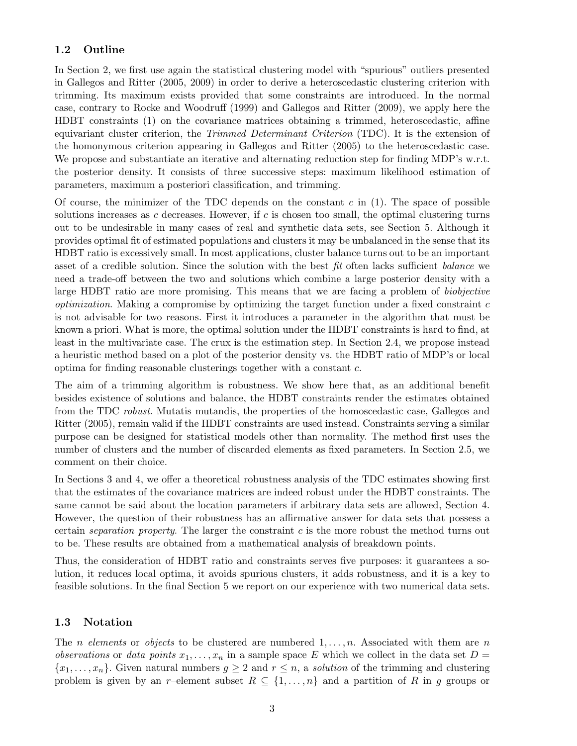## 1.2 Outline

In Section 2, we first use again the statistical clustering model with "spurious" outliers presented in Gallegos and Ritter (2005, 2009) in order to derive a heteroscedastic clustering criterion with trimming. Its maximum exists provided that some constraints are introduced. In the normal case, contrary to Rocke and Woodruff (1999) and Gallegos and Ritter (2009), we apply here the HDBT constraints (1) on the covariance matrices obtaining a trimmed, heteroscedastic, affine equivariant cluster criterion, the *Trimmed Determinant Criterion* (TDC). It is the extension of the homonymous criterion appearing in Gallegos and Ritter (2005) to the heteroscedastic case. We propose and substantiate an iterative and alternating reduction step for finding MDP's w.r.t. the posterior density. It consists of three successive steps: maximum likelihood estimation of parameters, maximum a posteriori classification, and trimming.

Of course, the minimizer of the TDC depends on the constant  $c$  in (1). The space of possible solutions increases as c decreases. However, if c is chosen too small, the optimal clustering turns out to be undesirable in many cases of real and synthetic data sets, see Section 5. Although it provides optimal fit of estimated populations and clusters it may be unbalanced in the sense that its HDBT ratio is excessively small. In most applications, cluster balance turns out to be an important asset of a credible solution. Since the solution with the best fit often lacks sufficient balance we need a trade-off between the two and solutions which combine a large posterior density with a large HDBT ratio are more promising. This means that we are facing a problem of biobjective *optimization*. Making a compromise by optimizing the target function under a fixed constraint  $c$ is not advisable for two reasons. First it introduces a parameter in the algorithm that must be known a priori. What is more, the optimal solution under the HDBT constraints is hard to find, at least in the multivariate case. The crux is the estimation step. In Section 2.4, we propose instead a heuristic method based on a plot of the posterior density vs. the HDBT ratio of MDP's or local optima for finding reasonable clusterings together with a constant c.

The aim of a trimming algorithm is robustness. We show here that, as an additional benefit besides existence of solutions and balance, the HDBT constraints render the estimates obtained from the TDC robust. Mutatis mutandis, the properties of the homoscedastic case, Gallegos and Ritter (2005), remain valid if the HDBT constraints are used instead. Constraints serving a similar purpose can be designed for statistical models other than normality. The method first uses the number of clusters and the number of discarded elements as fixed parameters. In Section 2.5, we comment on their choice.

In Sections 3 and 4, we offer a theoretical robustness analysis of the TDC estimates showing first that the estimates of the covariance matrices are indeed robust under the HDBT constraints. The same cannot be said about the location parameters if arbitrary data sets are allowed, Section 4. However, the question of their robustness has an affirmative answer for data sets that possess a certain *separation property*. The larger the constraint  $c$  is the more robust the method turns out to be. These results are obtained from a mathematical analysis of breakdown points.

Thus, the consideration of HDBT ratio and constraints serves five purposes: it guarantees a solution, it reduces local optima, it avoids spurious clusters, it adds robustness, and it is a key to feasible solutions. In the final Section 5 we report on our experience with two numerical data sets.

## 1.3 Notation

The *n* elements or objects to be clustered are numbered  $1, \ldots, n$ . Associated with them are *n* observations or data points  $x_1, \ldots, x_n$  in a sample space E which we collect in the data set  $D =$  $\{x_1, \ldots, x_n\}$ . Given natural numbers  $g \geq 2$  and  $r \leq n$ , a *solution* of the trimming and clustering problem is given by an r–element subset  $R \subseteq \{1, \ldots, n\}$  and a partition of R in g groups or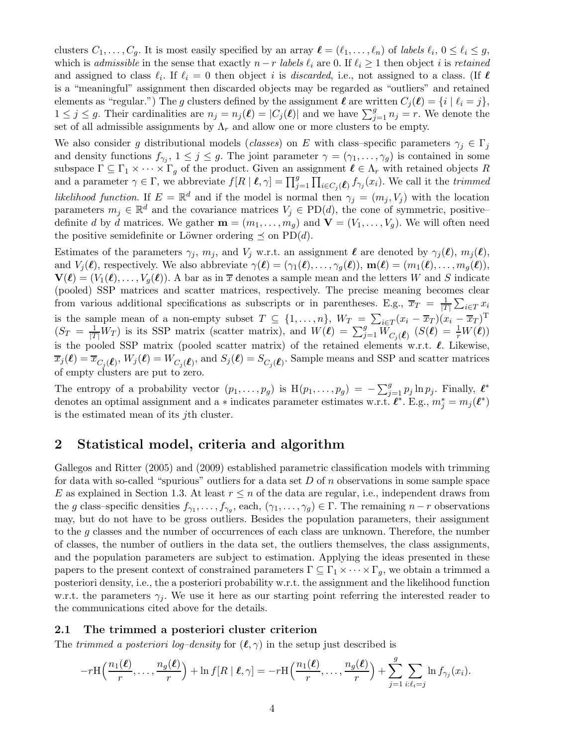clusters  $C_1, \ldots, C_g$ . It is most easily specified by an array  $\ell = (\ell_1, \ldots, \ell_n)$  of labels  $\ell_i, 0 \leq \ell_i \leq g$ , which is admissible in the sense that exactly  $n-r$  labels  $\ell_i$  are 0. If  $\ell_i \geq 1$  then object i is retained and assigned to class  $\ell_i$ . If  $\ell_i = 0$  then object i is *discarded*, i.e., not assigned to a class. (If  $\ell$ is a "meaningful" assignment then discarded objects may be regarded as "outliers" and retained elements as "regular.") The g clusters defined by the assignment  $\ell$  are written  $C_j(\ell) = \{i \mid \ell_i = j\},\$  $1 \leq j \leq g$ . Their cardinalities are  $n_j = n_j(\ell) = |C_j(\ell)|$  and we have  $\sum_{j=1}^g n_j = r$ . We denote the set of all admissible assignments by  $\Lambda_r$  and allow one or more clusters to be empty.

We also consider g distributional models (classes) on E with class–specific parameters  $\gamma_j \in \Gamma_j$ and density functions  $f_{\gamma_j}$ ,  $1 \leq j \leq g$ . The joint parameter  $\gamma = (\gamma_1, \ldots, \gamma_g)$  is contained in some subspace  $\Gamma \subseteq \Gamma_1 \times \cdots \times \Gamma_g$  of the product. Given an assignment  $\ell \in \Lambda_r$  with retained objects R and a parameter  $\gamma \in \Gamma$ , we abbreviate  $f[R | \ell, \gamma] = \prod_{j=1}^g \prod_{i \in C_j(\ell)} f_{\gamma_i}(x_i)$ . We call it the trimmed likelihood function. If  $E = \mathbb{R}^d$  and if the model is normal then  $\gamma_j = (m_j, V_j)$  with the location parameters  $m_j \in \mathbb{R}^d$  and the covariance matrices  $V_j \in \text{PD}(d)$ , the cone of symmetric, positive– definite d by d matrices. We gather  $\mathbf{m} = (m_1, \ldots, m_q)$  and  $\mathbf{V} = (V_1, \ldots, V_q)$ . We will often need the positive semidefinite or Löwner ordering  $\preceq$  on PD(*d*).

Estimates of the parameters  $\gamma_j$ ,  $m_j$ , and  $V_j$  w.r.t. an assignment  $\ell$  are denoted by  $\gamma_j(\ell), m_j(\ell)$ , and  $V_j(\ell)$ , respectively. We also abbreviate  $\gamma(\ell) = (\gamma_1(\ell), \ldots, \gamma_q(\ell)), \mathbf{m}(\ell) = (m_1(\ell), \ldots, m_q(\ell)),$  $\mathbf{V}(\ell) = (V_1(\ell), \dots, V_q(\ell)).$  A bar as in  $\overline{x}$  denotes a sample mean and the letters W and S indicate (pooled) SSP matrices and scatter matrices, respectively. The precise meaning becomes clear from various additional specifications as subscripts or in parentheses. E.g.,  $\overline{x}_T = \frac{1}{|T|}$  $\frac{1}{|T|}\sum_{i\in T} x_i$ is the sample mean of a non-empty subset  $T \subseteq \{1, \ldots, n\}$ ,  $W_T = \sum_{i \in T} (x_i - \overline{x}_T)(x_i - \overline{x}_T)^T$  $(S_T = \frac{1}{|T|} W_T)$  is its SSP matrix (scatter matrix), and  $W(\ell) = \sum_{j=1}^g W_{C_j(\ell)}(S(\ell)) = \frac{1}{r} W(\ell)$ ) is the pooled SSP matrix (pooled scatter matrix) of the retained elements w.r.t.  $\ell$ . Likewise,  $\overline{x}_j(\ell) = \overline{x}_{C_j(\ell)}, W_j(\ell) = W_{C_j(\ell)}, \text{ and } S_j(\ell) = S_{C_j(\ell)}.$  Sample means and SSP and scatter matrices of empty clusters are put to zero.

The entropy of a probability vector  $(p_1, \ldots, p_g)$  is  $H(p_1, \ldots, p_g) = -\sum_{j=1}^g p_j \ln p_j$ . Finally,  $\ell^*$ denotes an optimal assignment and a  $*$  indicates parameter estimates w.r.t.  $\ell^*$ . E.g.,  $m_j^* = m_j(\ell^*)$ is the estimated mean of its jth cluster.

## 2 Statistical model, criteria and algorithm

Gallegos and Ritter (2005) and (2009) established parametric classification models with trimming for data with so-called "spurious" outliers for a data set  $D$  of n observations in some sample space E as explained in Section 1.3. At least  $r \leq n$  of the data are regular, i.e., independent draws from the g class–specific densities  $f_{\gamma_1}, \ldots, f_{\gamma_g}$ , each,  $(\gamma_1, \ldots, \gamma_g) \in \Gamma$ . The remaining  $n-r$  observations may, but do not have to be gross outliers. Besides the population parameters, their assignment to the g classes and the number of occurrences of each class are unknown. Therefore, the number of classes, the number of outliers in the data set, the outliers themselves, the class assignments, and the population parameters are subject to estimation. Applying the ideas presented in these papers to the present context of constrained parameters  $\Gamma \subseteq \Gamma_1 \times \cdots \times \Gamma_q$ , we obtain a trimmed a posteriori density, i.e., the a posteriori probability w.r.t. the assignment and the likelihood function w.r.t. the parameters  $\gamma_i$ . We use it here as our starting point referring the interested reader to the communications cited above for the details.

#### 2.1 The trimmed a posteriori cluster criterion

The trimmed a posteriori log-density for  $(\ell, \gamma)$  in the setup just described is

$$
-r\mathrm{H}\left(\frac{n_1(\boldsymbol{\ell})}{r},\ldots,\frac{n_g(\boldsymbol{\ell})}{r}\right)+\ln f[R\mid \boldsymbol{\ell},\gamma]=-r\mathrm{H}\left(\frac{n_1(\boldsymbol{\ell})}{r},\ldots,\frac{n_g(\boldsymbol{\ell})}{r}\right)+\sum_{j=1}^g\sum_{i:\ell_i=j}\ln f_{\gamma_j}(x_i).
$$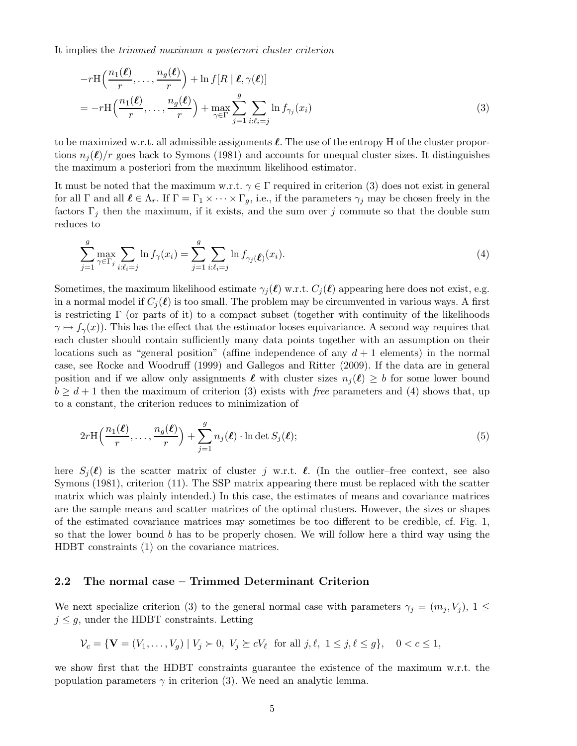It implies the trimmed maximum a posteriori cluster criterion

$$
-r\mathrm{H}\left(\frac{n_1(\ell)}{r},\ldots,\frac{n_g(\ell)}{r}\right) + \ln f[R \mid \ell, \gamma(\ell)]
$$
  
= 
$$
-r\mathrm{H}\left(\frac{n_1(\ell)}{r},\ldots,\frac{n_g(\ell)}{r}\right) + \max_{\gamma \in \Gamma} \sum_{j=1}^g \sum_{i:\ell_i=j} \ln f_{\gamma_j}(x_i)
$$
 (3)

to be maximized w.r.t. all admissible assignments  $\ell$ . The use of the entropy H of the cluster proportions  $n_i(\ell)/r$  goes back to Symons (1981) and accounts for unequal cluster sizes. It distinguishes the maximum a posteriori from the maximum likelihood estimator.

It must be noted that the maximum w.r.t.  $\gamma \in \Gamma$  required in criterion (3) does not exist in general for all  $\Gamma$  and all  $\ell \in \Lambda_r$ . If  $\Gamma = \Gamma_1 \times \cdots \times \Gamma_g$ , i.e., if the parameters  $\gamma_j$  may be chosen freely in the factors  $\Gamma_j$  then the maximum, if it exists, and the sum over j commute so that the double sum reduces to

$$
\sum_{j=1}^{g} \max_{\gamma \in \Gamma_j} \sum_{i:\ell_i=j} \ln f_{\gamma}(x_i) = \sum_{j=1}^{g} \sum_{i:\ell_i=j} \ln f_{\gamma_j}(\ell_i(x_i)).
$$
\n(4)

Sometimes, the maximum likelihood estimate  $\gamma_i(\ell)$  w.r.t.  $C_i(\ell)$  appearing here does not exist, e.g. in a normal model if  $C_i(\ell)$  is too small. The problem may be circumvented in various ways. A first is restricting  $\Gamma$  (or parts of it) to a compact subset (together with continuity of the likelihoods  $\gamma \mapsto f_{\gamma}(x)$ . This has the effect that the estimator looses equivariance. A second way requires that each cluster should contain sufficiently many data points together with an assumption on their locations such as "general position" (affine independence of any  $d+1$  elements) in the normal case, see Rocke and Woodruff (1999) and Gallegos and Ritter (2009). If the data are in general position and if we allow only assignments  $\ell$  with cluster sizes  $n_i(\ell) \geq b$  for some lower bound  $b \geq d+1$  then the maximum of criterion (3) exists with free parameters and (4) shows that, up to a constant, the criterion reduces to minimization of

$$
2r\mathrm{H}\left(\frac{n_1(\ell)}{r},\ldots,\frac{n_g(\ell)}{r}\right) + \sum_{j=1}^g n_j(\ell) \cdot \ln \det S_j(\ell); \tag{5}
$$

here  $S_i(\ell)$  is the scatter matrix of cluster j w.r.t.  $\ell$ . (In the outlier–free context, see also Symons (1981), criterion (11). The SSP matrix appearing there must be replaced with the scatter matrix which was plainly intended.) In this case, the estimates of means and covariance matrices are the sample means and scatter matrices of the optimal clusters. However, the sizes or shapes of the estimated covariance matrices may sometimes be too different to be credible, cf. Fig. 1, so that the lower bound b has to be properly chosen. We will follow here a third way using the HDBT constraints (1) on the covariance matrices.

#### 2.2 The normal case – Trimmed Determinant Criterion

We next specialize criterion (3) to the general normal case with parameters  $\gamma_j = (m_j, V_j), 1 \leq$  $j \leq g$ , under the HDBT constraints. Letting

$$
\mathcal{V}_c = \{ \mathbf{V} = (V_1, \dots, V_g) \mid V_j \succ 0, V_j \succeq cV_\ell \text{ for all } j, \ell, 1 \leq j, \ell \leq g \}, \quad 0 < c \leq 1,
$$

we show first that the HDBT constraints guarantee the existence of the maximum w.r.t. the population parameters  $\gamma$  in criterion (3). We need an analytic lemma.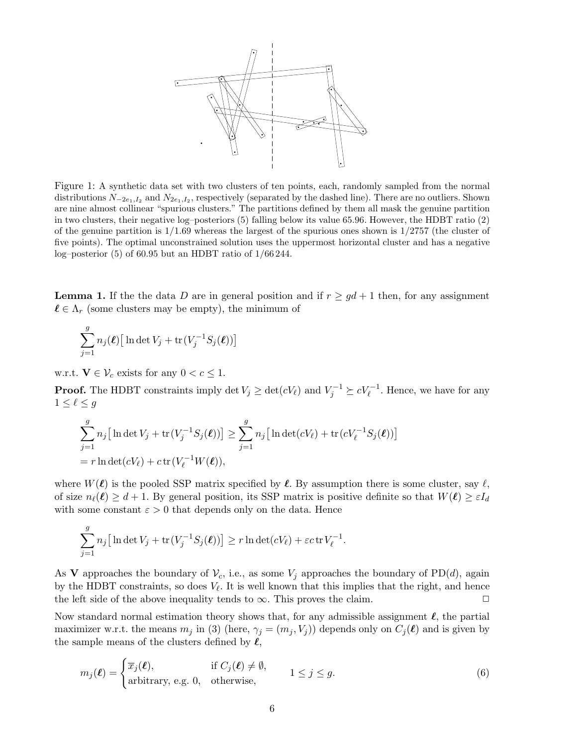

Figure 1: A synthetic data set with two clusters of ten points, each, randomly sampled from the normal distributions  $N_{-2e_1,I_2}$  and  $N_{2e_1,I_2}$ , respectively (separated by the dashed line). There are no outliers. Shown are nine almost collinear "spurious clusters." The partitions defined by them all mask the genuine partition in two clusters, their negative log–posteriors (5) falling below its value 65.96. However, the HDBT ratio (2) of the genuine partition is  $1/1.69$  whereas the largest of the spurious ones shown is  $1/2757$  (the cluster of five points). The optimal unconstrained solution uses the uppermost horizontal cluster and has a negative log–posterior (5) of 60.95 but an HDBT ratio of 1/66 244.

**Lemma 1.** If the the data D are in general position and if  $r \geq gd+1$  then, for any assignment  $\ell \in \Lambda_r$  (some clusters may be empty), the minimum of

$$
\sum_{j=1}^{g} n_j(\boldsymbol{\ell}) \big[ \ln \det V_j + \text{tr} \big( V_j^{-1} S_j(\boldsymbol{\ell}) \big) \big]
$$

w.r.t.  $\mathbf{V} \in \mathcal{V}_c$  exists for any  $0 < c \leq 1$ .

**Proof.** The HDBT constraints imply  $\det V_j \geq \det(cV_\ell)$  and  $V_j^{-1} \succeq cV_\ell^{-1}$ . Hence, we have for any  $1\leq \ell\leq g$ 

$$
\sum_{j=1}^{g} n_j [\ln \det V_j + \text{tr}(V_j^{-1} S_j(\ell))] \ge \sum_{j=1}^{g} n_j [\ln \det(cV_\ell) + \text{tr}(cV_\ell^{-1} S_j(\ell))]
$$
  
=  $r \ln \det(cV_\ell) + c \text{tr}(V_\ell^{-1} W(\ell)),$ 

where  $W(\ell)$  is the pooled SSP matrix specified by  $\ell$ . By assumption there is some cluster, say  $\ell$ , of size  $n_{\ell}(\ell) \geq d+1$ . By general position, its SSP matrix is positive definite so that  $W(\ell) \geq \varepsilon I_d$ with some constant  $\varepsilon > 0$  that depends only on the data. Hence

$$
\sum_{j=1}^g n_j \big[ \ln \det V_j + \text{tr}(V_j^{-1}S_j(\boldsymbol{\ell})) \big] \ge r \ln \det (cV_{\ell}) + \varepsilon c \,\text{tr} \, V_{\ell}^{-1}.
$$

As V approaches the boundary of  $\mathcal{V}_c$ , i.e., as some  $V_j$  approaches the boundary of PD(d), again by the HDBT constraints, so does  $V_{\ell}$ . It is well known that this implies that the right, and hence the left side of the above inequality tends to  $\infty$ . This proves the claim.  $\Box$ 

Now standard normal estimation theory shows that, for any admissible assignment  $\ell$ , the partial maximizer w.r.t. the means  $m_j$  in (3) (here,  $\gamma_j = (m_j, V_j)$ ) depends only on  $C_j(\ell)$  and is given by the sample means of the clusters defined by  $\ell$ ,

$$
m_j(\ell) = \begin{cases} \overline{x}_j(\ell), & \text{if } C_j(\ell) \neq \emptyset, \\ \text{arbitrary, e.g. 0, otherwise,} \end{cases} \quad 1 \leq j \leq g. \tag{6}
$$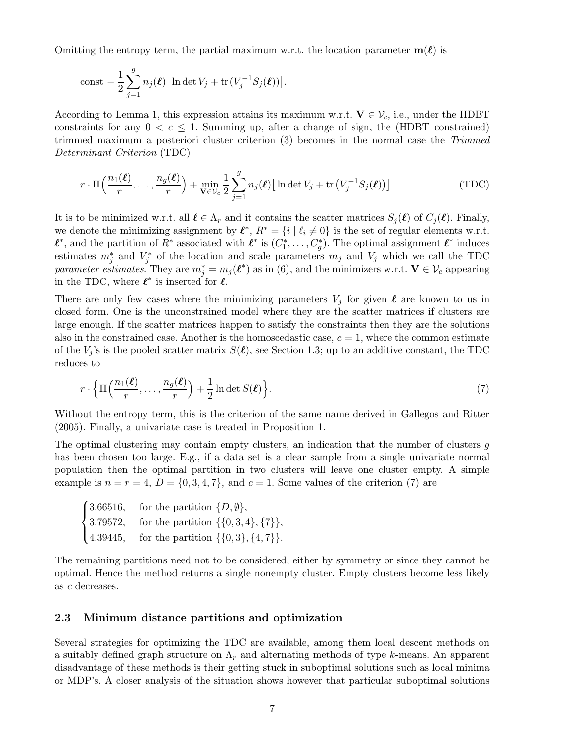Omitting the entropy term, the partial maximum w.r.t. the location parameter  $m(\ell)$  is

$$
const - \frac{1}{2} \sum_{j=1}^{g} n_j(\boldsymbol{\ell}) \big[ \ln \det V_j + \text{tr}(V_j^{-1} S_j(\boldsymbol{\ell})) \big].
$$

According to Lemma 1, this expression attains its maximum w.r.t.  $V \in \mathcal{V}_c$ , i.e., under the HDBT constraints for any  $0 < c \leq 1$ . Summing up, after a change of sign, the (HDBT constrained) trimmed maximum a posteriori cluster criterion (3) becomes in the normal case the Trimmed Determinant Criterion (TDC)

$$
r \cdot \text{H}\left(\frac{n_1(\ell)}{r}, \dots, \frac{n_g(\ell)}{r}\right) + \min_{\mathbf{V} \in \mathcal{V}_c} \frac{1}{2} \sum_{j=1}^g n_j(\ell) \big[ \ln \det V_j + \text{tr}\left(V_j^{-1} S_j(\ell)\right) \big].
$$
 (TDC)

It is to be minimized w.r.t. all  $\ell \in \Lambda_r$  and it contains the scatter matrices  $S_i(\ell)$  of  $C_i(\ell)$ . Finally, we denote the minimizing assignment by  $\ell^*, R^* = \{i \mid \ell_i \neq 0\}$  is the set of regular elements w.r.t.  $\ell^*$ , and the partition of  $R^*$  associated with  $\ell^*$  is  $(C_1^*, \ldots, C_g^*)$ . The optimal assignment  $\ell^*$  induces estimates  $m_j^*$  and  $V_j^*$  of the location and scale parameters  $m_j$  and  $V_j$  which we call the TDC parameter estimates. They are  $m_j^* = m_j(\ell^*)$  as in (6), and the minimizers w.r.t.  $\mathbf{V} \in \mathcal{V}_c$  appearing in the TDC, where  $\ell^*$  is inserted for  $\ell$ .

There are only few cases where the minimizing parameters  $V_j$  for given  $\ell$  are known to us in closed form. One is the unconstrained model where they are the scatter matrices if clusters are large enough. If the scatter matrices happen to satisfy the constraints then they are the solutions also in the constrained case. Another is the homoscedastic case,  $c = 1$ , where the common estimate of the  $V_j$ 's is the pooled scatter matrix  $S(\ell)$ , see Section 1.3; up to an additive constant, the TDC reduces to

$$
r \cdot \left\{ \mathrm{H}\left(\frac{n_1(\ell)}{r}, \ldots, \frac{n_g(\ell)}{r}\right) + \frac{1}{2} \ln \det S(\ell) \right\}.
$$
 (7)

Without the entropy term, this is the criterion of the same name derived in Gallegos and Ritter (2005). Finally, a univariate case is treated in Proposition 1.

The optimal clustering may contain empty clusters, an indication that the number of clusters g has been chosen too large. E.g., if a data set is a clear sample from a single univariate normal population then the optimal partition in two clusters will leave one cluster empty. A simple example is  $n = r = 4$ ,  $D = \{0, 3, 4, 7\}$ , and  $c = 1$ . Some values of the criterion (7) are

 $\sqrt{ }$  $\int$  $\mathbf{I}$ 3.66516, for the partition  $\{D, \emptyset\},\$ 3.79572, for the partition  $\{\{0, 3, 4\}, \{7\}\},\$ 4.39445, for the partition  $\{\{0,3\},\{4,7\}\}.$ 

The remaining partitions need not to be considered, either by symmetry or since they cannot be optimal. Hence the method returns a single nonempty cluster. Empty clusters become less likely as c decreases.

#### 2.3 Minimum distance partitions and optimization

Several strategies for optimizing the TDC are available, among them local descent methods on a suitably defined graph structure on  $\Lambda_r$  and alternating methods of type k-means. An apparent disadvantage of these methods is their getting stuck in suboptimal solutions such as local minima or MDP's. A closer analysis of the situation shows however that particular suboptimal solutions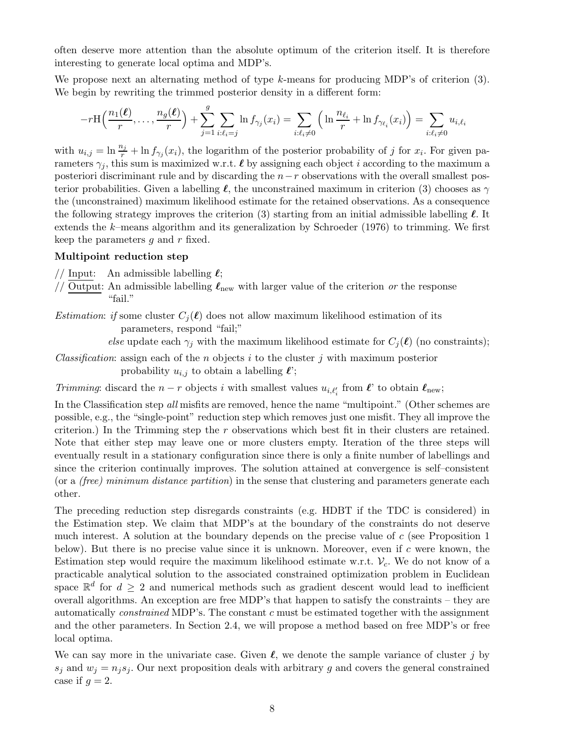often deserve more attention than the absolute optimum of the criterion itself. It is therefore interesting to generate local optima and MDP's.

We propose next an alternating method of type k-means for producing MDP's of criterion (3). We begin by rewriting the trimmed posterior density in a different form:

$$
-r\mathrm{H}\left(\frac{n_1(\boldsymbol{\ell})}{r},\ldots,\frac{n_g(\boldsymbol{\ell})}{r}\right)+\sum_{j=1}^g\sum_{i:\ell_i=j}\ln f_{\gamma_j}(x_i)=\sum_{i:\ell_i\neq 0}\left(\ln\frac{n_{\ell_i}}{r}+\ln f_{\gamma_{\ell_i}}(x_i)\right)=\sum_{i:\ell_i\neq 0}u_{i,\ell_i}
$$

with  $u_{i,j} = \ln \frac{n_j}{r} + \ln f_{\gamma_j}(x_i)$ , the logarithm of the posterior probability of j for  $x_i$ . For given parameters  $\gamma_i$ , this sum is maximized w.r.t.  $\ell$  by assigning each object i according to the maximum a posteriori discriminant rule and by discarding the  $n-r$  observations with the overall smallest posterior probabilities. Given a labelling  $\ell$ , the unconstrained maximum in criterion (3) chooses as  $\gamma$ the (unconstrained) maximum likelihood estimate for the retained observations. As a consequence the following strategy improves the criterion (3) starting from an initial admissible labelling  $\ell$ . It extends the k–means algorithm and its generalization by Schroeder (1976) to trimming. We first keep the parameters  $q$  and  $r$  fixed.

#### Multipoint reduction step

// Input: An admissible labelling  $\ell$ ;

//  $\overline{\text{Output}}$ : An admissible labelling  $\ell_{\text{new}}$  with larger value of the criterion or the response "fail."

*Estimation: if* some cluster  $C_i(\ell)$  does not allow maximum likelihood estimation of its parameters, respond "fail;"

else update each  $\gamma_j$  with the maximum likelihood estimate for  $C_j(\ell)$  (no constraints);

*Classification*: assign each of the *n* objects i to the cluster j with maximum posterior probability  $u_{i,j}$  to obtain a labelling  $\ell$ ;

Trimming: discard the  $n-r$  objects i with smallest values  $u_{i,\ell'_i}$  from  $\ell'$  to obtain  $\ell_{\text{new}}$ ;

In the Classification step all misfits are removed, hence the name "multipoint." (Other schemes are possible, e.g., the "single-point" reduction step which removes just one misfit. They all improve the criterion.) In the Trimming step the  $r$  observations which best fit in their clusters are retained. Note that either step may leave one or more clusters empty. Iteration of the three steps will eventually result in a stationary configuration since there is only a finite number of labellings and since the criterion continually improves. The solution attained at convergence is self–consistent (or a (free) minimum distance partition) in the sense that clustering and parameters generate each other.

The preceding reduction step disregards constraints (e.g. HDBT if the TDC is considered) in the Estimation step. We claim that MDP's at the boundary of the constraints do not deserve much interest. A solution at the boundary depends on the precise value of  $c$  (see Proposition 1) below). But there is no precise value since it is unknown. Moreover, even if c were known, the Estimation step would require the maximum likelihood estimate w.r.t.  $\mathcal{V}_c$ . We do not know of a practicable analytical solution to the associated constrained optimization problem in Euclidean space  $\mathbb{R}^d$  for  $d \geq 2$  and numerical methods such as gradient descent would lead to inefficient overall algorithms. An exception are free MDP's that happen to satisfy the constraints – they are automatically *constrained* MDP's. The constant  $c$  must be estimated together with the assignment and the other parameters. In Section 2.4, we will propose a method based on free MDP's or free local optima.

We can say more in the univariate case. Given  $\ell$ , we denote the sample variance of cluster j by  $s_i$  and  $w_i = n_i s_i$ . Our next proposition deals with arbitrary g and covers the general constrained case if  $q=2$ .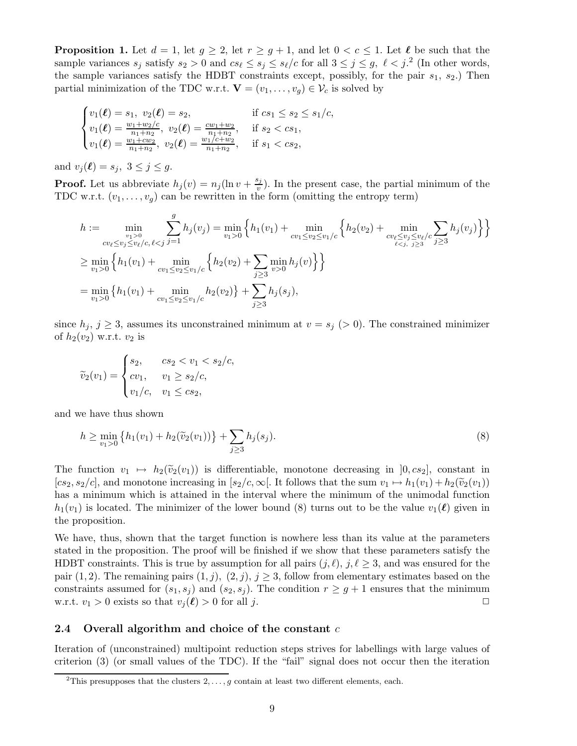**Proposition 1.** Let  $d = 1$ , let  $g \geq 2$ , let  $r \geq g+1$ , and let  $0 < c \leq 1$ . Let  $\ell$  be such that the sample variances  $s_j$  satisfy  $s_2 > 0$  and  $cs_\ell \leq s_j \leq s_\ell/c$  for all  $3 \leq j \leq g$ ,  $\ell < j$ .<sup>2</sup> (In other words, the sample variances satisfy the HDBT constraints except, possibly, for the pair  $s_1$ ,  $s_2$ .) Then partial minimization of the TDC w.r.t.  $\mathbf{V} = (v_1, \dots, v_q) \in \mathcal{V}_c$  is solved by

$$
\begin{cases}\nv_1(\ell) = s_1, \ v_2(\ell) = s_2, & \text{if } cs_1 \le s_2 \le s_1/c, \\
v_1(\ell) = \frac{w_1 + w_2/c}{n_1 + n_2}, \ v_2(\ell) = \frac{cw_1 + w_2}{n_1 + n_2}, & \text{if } s_2 < cs_1, \\
v_1(\ell) = \frac{w_1 + cw_2}{n_1 + n_2}, \ v_2(\ell) = \frac{w_1/c + w_2}{n_1 + n_2}, & \text{if } s_1 < cs_2,\n\end{cases}
$$

and  $v_j(\ell) = s_j, \ 3 \leq j \leq q$ .

**Proof.** Let us abbreviate  $h_j(v) = n_j(\ln v + \frac{s_j}{v})$  $(v_i^{\delta_j})$ . In the present case, the partial minimum of the TDC w.r.t.  $(v_1, \ldots, v_q)$  can be rewritten in the form (omitting the entropy term)

$$
h := \min_{\substack{v_1 > 0 \\ cv_\ell \le v_j \le v_\ell/c, \ell < j}} \sum_{j=1}^g h_j(v_j) = \min_{v_1 > 0} \left\{ h_1(v_1) + \min_{cv_1 \le v_2 \le v_1/c} \left\{ h_2(v_2) + \min_{\substack{cv_\ell \le v_j \le v_\ell/c \\ \ell < j, \ j \ge 3}} \sum_{j \ge 3} h_j(v_j) \right\} \right\}
$$
\n
$$
\ge \min_{v_1 > 0} \left\{ h_1(v_1) + \min_{\substack{cv_1 \le v_2 \le v_1/c \\ \ell > j \ge 3}} \left\{ h_2(v_2) + \sum_{j \ge 3} \min_{v > 0} h_j(v) \right\} \right\}
$$
\n
$$
= \min_{v_1 > 0} \left\{ h_1(v_1) + \min_{\substack{cv_1 \le v_2 \le v_1/c \\ \ell > j \ge 3}} h_2(v_2) \right\} + \sum_{j \ge 3} h_j(s_j),
$$

since  $h_j$ ,  $j \geq 3$ , assumes its unconstrained minimum at  $v = s_j > 0$ . The constrained minimizer of  $h_2(v_2)$  w.r.t.  $v_2$  is

$$
\widetilde{v}_2(v_1) = \begin{cases}\ns_2, & cs_2 < v_1 < s_2/c, \\
cv_1, & v_1 \ge s_2/c, \\
v_1/c, & v_1 \le cs_2,\n\end{cases}
$$

and we have thus shown

$$
h \ge \min_{v_1 > 0} \left\{ h_1(v_1) + h_2(\widetilde{v}_2(v_1)) \right\} + \sum_{j \ge 3} h_j(s_j). \tag{8}
$$

The function  $v_1 \mapsto h_2(\tilde{v}_2(v_1))$  is differentiable, monotone decreasing in  $]0, cs_2]$ , constant in  $[cs_2, s_2/c]$ , and monotone increasing in  $[s_2/c, \infty]$ . It follows that the sum  $v_1 \mapsto h_1(v_1) + h_2(\tilde{v}_2(v_1))$ has a minimum which is attained in the interval where the minimum of the unimodal function  $h_1(v_1)$  is located. The minimizer of the lower bound (8) turns out to be the value  $v_1(\ell)$  given in the proposition.

We have, thus, shown that the target function is nowhere less than its value at the parameters stated in the proposition. The proof will be finished if we show that these parameters satisfy the HDBT constraints. This is true by assumption for all pairs  $(j, \ell)$ ,  $j, \ell \geq 3$ , and was ensured for the pair (1, 2). The remaining pairs  $(1, j)$ ,  $(2, j)$ ,  $j \geq 3$ , follow from elementary estimates based on the constraints assumed for  $(s_1, s_j)$  and  $(s_2, s_j)$ . The condition  $r \geq g+1$  ensures that the minimum w.r.t.  $v_1 > 0$  exists so that  $v_i(\ell) > 0$  for all j.

#### 2.4 Overall algorithm and choice of the constant  $c$

Iteration of (unconstrained) multipoint reduction steps strives for labellings with large values of criterion (3) (or small values of the TDC). If the "fail" signal does not occur then the iteration

<sup>&</sup>lt;sup>2</sup>This presupposes that the clusters  $2, \ldots, g$  contain at least two different elements, each.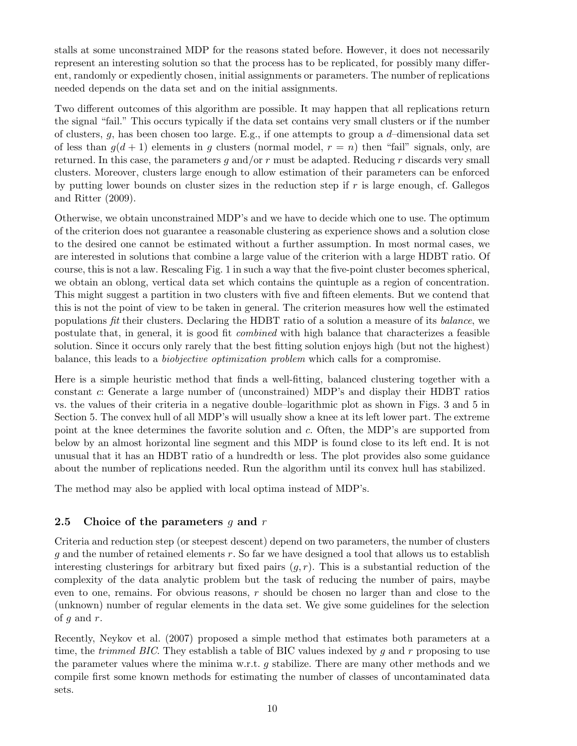stalls at some unconstrained MDP for the reasons stated before. However, it does not necessarily represent an interesting solution so that the process has to be replicated, for possibly many different, randomly or expediently chosen, initial assignments or parameters. The number of replications needed depends on the data set and on the initial assignments.

Two different outcomes of this algorithm are possible. It may happen that all replications return the signal "fail." This occurs typically if the data set contains very small clusters or if the number of clusters,  $g$ , has been chosen too large. E.g., if one attempts to group a  $d$ -dimensional data set of less than  $g(d+1)$  elements in g clusters (normal model,  $r = n$ ) then "fail" signals, only, are returned. In this case, the parameters  $g$  and/or  $r$  must be adapted. Reducing  $r$  discards very small clusters. Moreover, clusters large enough to allow estimation of their parameters can be enforced by putting lower bounds on cluster sizes in the reduction step if  $r$  is large enough, cf. Gallegos and Ritter (2009).

Otherwise, we obtain unconstrained MDP's and we have to decide which one to use. The optimum of the criterion does not guarantee a reasonable clustering as experience shows and a solution close to the desired one cannot be estimated without a further assumption. In most normal cases, we are interested in solutions that combine a large value of the criterion with a large HDBT ratio. Of course, this is not a law. Rescaling Fig. 1 in such a way that the five-point cluster becomes spherical, we obtain an oblong, vertical data set which contains the quintuple as a region of concentration. This might suggest a partition in two clusters with five and fifteen elements. But we contend that this is not the point of view to be taken in general. The criterion measures how well the estimated populations fit their clusters. Declaring the HDBT ratio of a solution a measure of its balance, we postulate that, in general, it is good fit combined with high balance that characterizes a feasible solution. Since it occurs only rarely that the best fitting solution enjoys high (but not the highest) balance, this leads to a biobjective optimization problem which calls for a compromise.

Here is a simple heuristic method that finds a well-fitting, balanced clustering together with a constant c: Generate a large number of (unconstrained) MDP's and display their HDBT ratios vs. the values of their criteria in a negative double–logarithmic plot as shown in Figs. 3 and 5 in Section 5. The convex hull of all MDP's will usually show a knee at its left lower part. The extreme point at the knee determines the favorite solution and c. Often, the MDP's are supported from below by an almost horizontal line segment and this MDP is found close to its left end. It is not unusual that it has an HDBT ratio of a hundredth or less. The plot provides also some guidance about the number of replications needed. Run the algorithm until its convex hull has stabilized.

The method may also be applied with local optima instead of MDP's.

## 2.5 Choice of the parameters g and  $r$

Criteria and reduction step (or steepest descent) depend on two parameters, the number of clusters g and the number of retained elements  $r$ . So far we have designed a tool that allows us to establish interesting clusterings for arbitrary but fixed pairs  $(q, r)$ . This is a substantial reduction of the complexity of the data analytic problem but the task of reducing the number of pairs, maybe even to one, remains. For obvious reasons, r should be chosen no larger than and close to the (unknown) number of regular elements in the data set. We give some guidelines for the selection of  $q$  and  $r$ .

Recently, Neykov et al. (2007) proposed a simple method that estimates both parameters at a time, the *trimmed BIC*. They establish a table of BIC values indexed by q and r proposing to use the parameter values where the minima w.r.t. g stabilize. There are many other methods and we compile first some known methods for estimating the number of classes of uncontaminated data sets.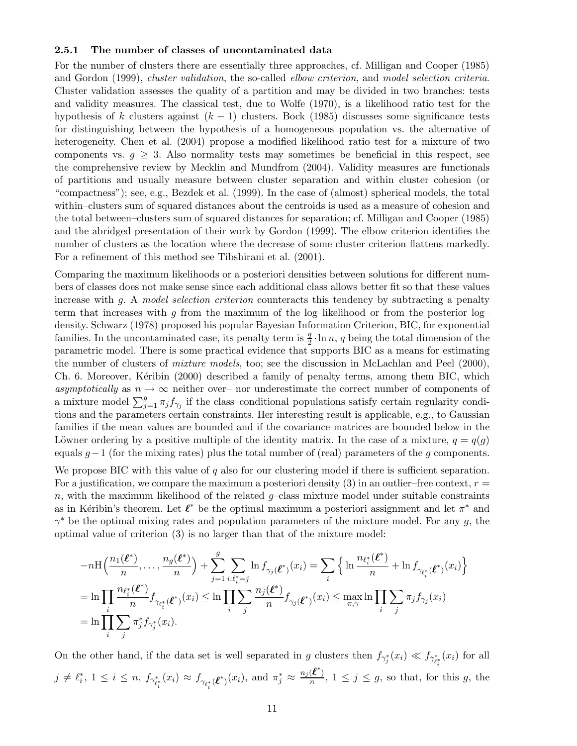#### 2.5.1 The number of classes of uncontaminated data

For the number of clusters there are essentially three approaches, cf. Milligan and Cooper (1985) and Gordon (1999), *cluster validation*, the so-called *elbow criterion*, and model selection criteria. Cluster validation assesses the quality of a partition and may be divided in two branches: tests and validity measures. The classical test, due to Wolfe (1970), is a likelihood ratio test for the hypothesis of k clusters against  $(k - 1)$  clusters. Bock (1985) discusses some significance tests for distinguishing between the hypothesis of a homogeneous population vs. the alternative of heterogeneity. Chen et al. (2004) propose a modified likelihood ratio test for a mixture of two components vs.  $g \geq 3$ . Also normality tests may sometimes be beneficial in this respect, see the comprehensive review by Mecklin and Mundfrom (2004). Validity measures are functionals of partitions and usually measure between cluster separation and within cluster cohesion (or "compactness"); see, e.g., Bezdek et al. (1999). In the case of (almost) spherical models, the total within–clusters sum of squared distances about the centroids is used as a measure of cohesion and the total between–clusters sum of squared distances for separation; cf. Milligan and Cooper (1985) and the abridged presentation of their work by Gordon (1999). The elbow criterion identifies the number of clusters as the location where the decrease of some cluster criterion flattens markedly. For a refinement of this method see Tibshirani et al. (2001).

Comparing the maximum likelihoods or a posteriori densities between solutions for different numbers of classes does not make sense since each additional class allows better fit so that these values increase with g. A model selection criterion counteracts this tendency by subtracting a penalty term that increases with q from the maximum of the log–likelihood or from the posterior log– density. Schwarz (1978) proposed his popular Bayesian Information Criterion, BIC, for exponential families. In the uncontaminated case, its penalty term is  $\frac{q}{2} \cdot \ln n$ , q being the total dimension of the parametric model. There is some practical evidence that supports BIC as a means for estimating the number of clusters of mixture models, too; see the discussion in McLachlan and Peel (2000), Ch. 6. Moreover, Kéribin (2000) described a family of penalty terms, among them BIC, which asymptotically as  $n \to \infty$  neither over– nor underestimate the correct number of components of a mixture model  $\sum_{j=1}^{g} \pi_j f_{\gamma_j}$  if the class-conditional populations satisfy certain regularity conditions and the parameters certain constraints. Her interesting result is applicable, e.g., to Gaussian families if the mean values are bounded and if the covariance matrices are bounded below in the Löwner ordering by a positive multiple of the identity matrix. In the case of a mixture,  $q = q(q)$ equals  $g-1$  (for the mixing rates) plus the total number of (real) parameters of the g components.

We propose BIC with this value of  $q$  also for our clustering model if there is sufficient separation. For a justification, we compare the maximum a posteriori density  $(3)$  in an outlier–free context,  $r =$ n, with the maximum likelihood of the related  $g$ -class mixture model under suitable constraints as in Kéribin's theorem. Let  $\ell^*$  be the optimal maximum a posteriori assignment and let  $\pi^*$  and  $\gamma^*$  be the optimal mixing rates and population parameters of the mixture model. For any g, the optimal value of criterion (3) is no larger than that of the mixture model:

$$
-n\mathrm{H}\left(\frac{n_1(\boldsymbol{\ell}^*)}{n},\ldots,\frac{n_g(\boldsymbol{\ell}^*)}{n}\right) + \sum_{j=1}^g \sum_{i:\ell_i^*=j} \ln f_{\gamma_j(\boldsymbol{\ell}^*)}(x_i) = \sum_i \left\{ \ln \frac{n_{\ell_i^*}(\boldsymbol{\ell}^*)}{n} + \ln f_{\gamma_{\ell_i^*}(\boldsymbol{\ell}^*)}(x_i) \right\}
$$
  
\n
$$
= \ln \prod_i \frac{n_{\ell_i^*}(\boldsymbol{\ell}^*)}{n} f_{\gamma_{\ell_i^*}(\boldsymbol{\ell}^*)}(x_i) \le \ln \prod_i \sum_j \frac{n_j(\boldsymbol{\ell}^*)}{n} f_{\gamma_j(\boldsymbol{\ell}^*)}(x_i) \le \max_{\pi,\gamma} \ln \prod_i \sum_j \pi_j f_{\gamma_j}(x_i)
$$
  
\n
$$
= \ln \prod_i \sum_j \pi_j^* f_{\gamma_j^*}(x_i).
$$

On the other hand, if the data set is well separated in g clusters then  $f_{\gamma_j^*}(x_i) \ll f_{\gamma_{\ell_i^*}^*}(x_i)$  for all i  $j \neq \ell_i^*, 1 \leq i \leq n$ ,  $f_{\gamma_{\ell_i^*}^*}(x_i) \approx f_{\gamma_{\ell_i^*}^*}(\ell^*)}(x_i)$ , and  $\pi_j^* \approx$  $n_j(\boldsymbol{\ell}^*)$  $\frac{a}{n}$ ,  $1 \leq j \leq g$ , so that, for this g, the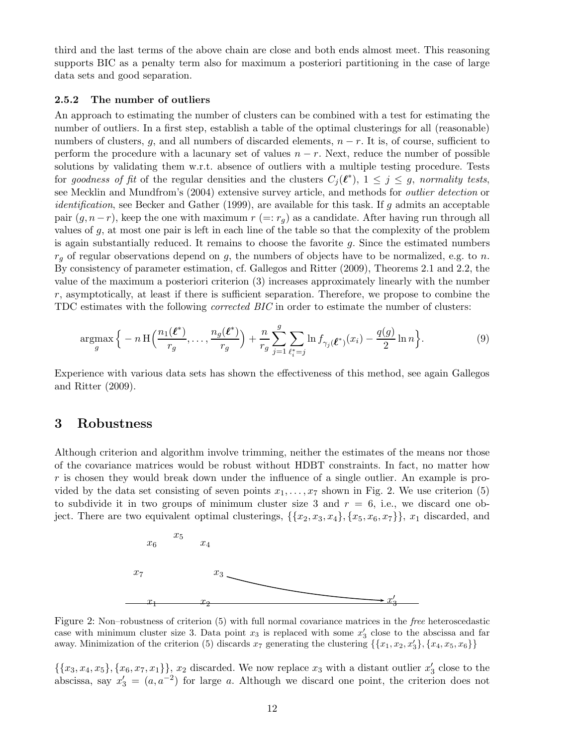third and the last terms of the above chain are close and both ends almost meet. This reasoning supports BIC as a penalty term also for maximum a posteriori partitioning in the case of large data sets and good separation.

#### 2.5.2 The number of outliers

An approach to estimating the number of clusters can be combined with a test for estimating the number of outliers. In a first step, establish a table of the optimal clusterings for all (reasonable) numbers of clusters, q, and all numbers of discarded elements,  $n - r$ . It is, of course, sufficient to perform the procedure with a lacunary set of values  $n - r$ . Next, reduce the number of possible solutions by validating them w.r.t. absence of outliers with a multiple testing procedure. Tests for goodness of fit of the regular densities and the clusters  $C_j(\ell^*)$ ,  $1 \leq j \leq g$ , normality tests, see Mecklin and Mundfrom's (2004) extensive survey article, and methods for outlier detection or *identification*, see Becker and Gather (1999), are available for this task. If g admits an acceptable pair  $(g, n-r)$ , keep the one with maximum  $r (=: r_q)$  as a candidate. After having run through all values of g, at most one pair is left in each line of the table so that the complexity of the problem is again substantially reduced. It remains to choose the favorite  $q$ . Since the estimated numbers  $r_q$  of regular observations depend on g, the numbers of objects have to be normalized, e.g. to n. By consistency of parameter estimation, cf. Gallegos and Ritter (2009), Theorems 2.1 and 2.2, the value of the maximum a posteriori criterion (3) increases approximately linearly with the number r, asymptotically, at least if there is sufficient separation. Therefore, we propose to combine the TDC estimates with the following corrected BIC in order to estimate the number of clusters:

$$
\underset{g}{\operatorname{argmax}} \Big\{ -n \operatorname{H} \Big( \frac{n_1(\boldsymbol{\ell}^*)}{r_g}, \dots, \frac{n_g(\boldsymbol{\ell}^*)}{r_g} \Big) + \frac{n}{r_g} \sum_{j=1}^g \sum_{\ell_i^* = j} \ln f_{\gamma_j(\boldsymbol{\ell}^*)}(x_i) - \frac{q(g)}{2} \ln n \Big\}. \tag{9}
$$

Experience with various data sets has shown the effectiveness of this method, see again Gallegos and Ritter (2009).

### 3 Robustness

Although criterion and algorithm involve trimming, neither the estimates of the means nor those of the covariance matrices would be robust without HDBT constraints. In fact, no matter how  $r$  is chosen they would break down under the influence of a single outlier. An example is provided by the data set consisting of seven points  $x_1, \ldots, x_7$  shown in Fig. 2. We use criterion (5) to subdivide it in two groups of minimum cluster size 3 and  $r = 6$ , i.e., we discard one object. There are two equivalent optimal clusterings,  $\{\{x_2, x_3, x_4\}, \{x_5, x_6, x_7\}\}\$ ,  $x_1$  discarded, and



Figure 2: Non–robustness of criterion (5) with full normal covariance matrices in the free heteroscedastic case with minimum cluster size 3. Data point  $x_3$  is replaced with some  $x'_3$  close to the abscissa and far away. Minimization of the criterion (5) discards  $x_7$  generating the clustering  $\{\{x_1, x_2, x'_3\}, \{x_4, x_5, x_6\}\}\$ 

 $\{\{x_3, x_4, x_5\}, \{x_6, x_7, x_1\}\}\$ ,  $x_2$  discarded. We now replace  $x_3$  with a distant outlier  $x'_3$  close to the abscissa, say  $x_3' = (a, a^{-2})$  for large a. Although we discard one point, the criterion does not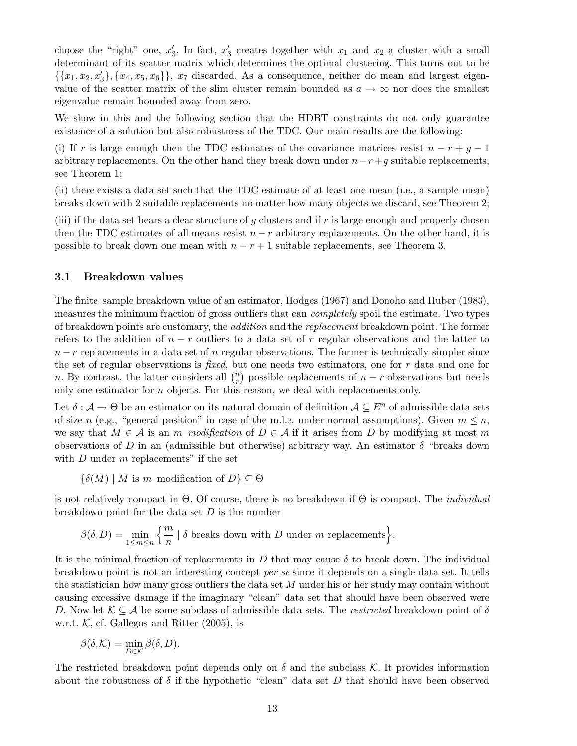choose the "right" one,  $x'_3$ . In fact,  $x'_3$  creates together with  $x_1$  and  $x_2$  a cluster with a small determinant of its scatter matrix which determines the optimal clustering. This turns out to be  $\{\{x_1, x_2, x'_3\}, \{x_4, x_5, x_6\}\},\ x_7$  discarded. As a consequence, neither do mean and largest eigenvalue of the scatter matrix of the slim cluster remain bounded as  $a \to \infty$  nor does the smallest eigenvalue remain bounded away from zero.

We show in this and the following section that the HDBT constraints do not only guarantee existence of a solution but also robustness of the TDC. Our main results are the following:

(i) If r is large enough then the TDC estimates of the covariance matrices resist  $n - r + g - 1$ arbitrary replacements. On the other hand they break down under  $n-r+g$  suitable replacements, see Theorem 1;

(ii) there exists a data set such that the TDC estimate of at least one mean (i.e., a sample mean) breaks down with 2 suitable replacements no matter how many objects we discard, see Theorem 2;

(iii) if the data set bears a clear structure of g clusters and if r is large enough and properly chosen then the TDC estimates of all means resist  $n - r$  arbitrary replacements. On the other hand, it is possible to break down one mean with  $n - r + 1$  suitable replacements, see Theorem 3.

#### 3.1 Breakdown values

The finite–sample breakdown value of an estimator, Hodges (1967) and Donoho and Huber (1983), measures the minimum fraction of gross outliers that can completely spoil the estimate. Two types of breakdown points are customary, the addition and the replacement breakdown point. The former refers to the addition of  $n - r$  outliers to a data set of r regular observations and the latter to  $n-r$  replacements in a data set of n regular observations. The former is technically simpler since the set of regular observations is fixed, but one needs two estimators, one for r data and one for n. By contrast, the latter considers all  $\binom{n}{r}$  $\binom{n}{r}$  possible replacements of  $n-r$  observations but needs only one estimator for  $n$  objects. For this reason, we deal with replacements only.

Let  $\delta: \mathcal{A} \to \Theta$  be an estimator on its natural domain of definition  $\mathcal{A} \subseteq E^n$  of admissible data sets of size n (e.g., "general position" in case of the m.l.e. under normal assumptions). Given  $m \leq n$ , we say that  $M \in \mathcal{A}$  is an m–modification of  $D \in \mathcal{A}$  if it arises from D by modifying at most m observations of D in an (admissible but otherwise) arbitrary way. An estimator  $\delta$  "breaks down with  $D$  under  $m$  replacements" if the set

 $\{\delta(M) \mid M \text{ is } m\text{-modification of } D\} \subseteq \Theta$ 

is not relatively compact in  $\Theta$ . Of course, there is no breakdown if  $\Theta$  is compact. The *individual* breakdown point for the data set  $D$  is the number

$$
\beta(\delta, D) = \min_{1 \leq m \leq n} \left\{ \frac{m}{n} \mid \delta \text{ breaks down with } D \text{ under } m \text{ replacements} \right\}.
$$

It is the minimal fraction of replacements in D that may cause  $\delta$  to break down. The individual breakdown point is not an interesting concept per se since it depends on a single data set. It tells the statistician how many gross outliers the data set M under his or her study may contain without causing excessive damage if the imaginary "clean" data set that should have been observed were D. Now let  $\mathcal{K} \subseteq \mathcal{A}$  be some subclass of admissible data sets. The *restricted* breakdown point of  $\delta$ w.r.t.  $K$ , cf. Gallegos and Ritter (2005), is

$$
\beta(\delta,\mathcal{K}) = \min_{D \in \mathcal{K}} \beta(\delta, D).
$$

The restricted breakdown point depends only on  $\delta$  and the subclass K. It provides information about the robustness of  $\delta$  if the hypothetic "clean" data set D that should have been observed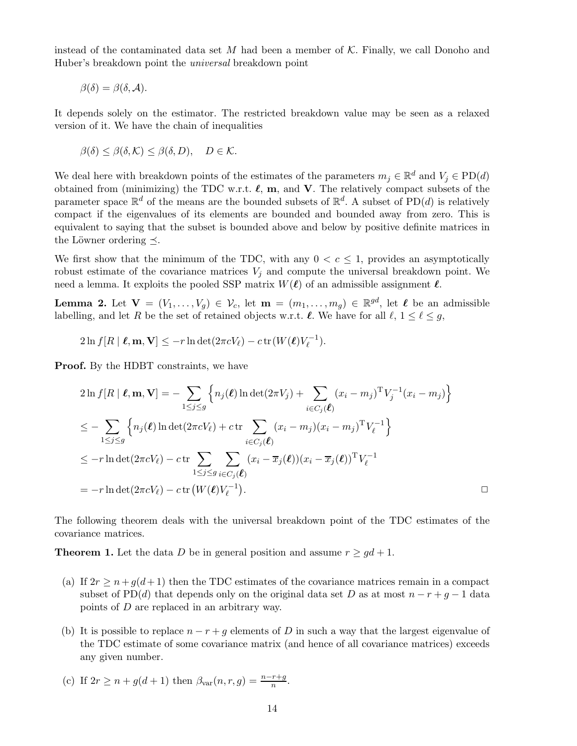instead of the contaminated data set M had been a member of  $K$ . Finally, we call Donoho and Huber's breakdown point the universal breakdown point

$$
\beta(\delta) = \beta(\delta, \mathcal{A}).
$$

It depends solely on the estimator. The restricted breakdown value may be seen as a relaxed version of it. We have the chain of inequalities

$$
\beta(\delta) \leq \beta(\delta, \mathcal{K}) \leq \beta(\delta, D), \quad D \in \mathcal{K}.
$$

We deal here with breakdown points of the estimates of the parameters  $m_j \in \mathbb{R}^d$  and  $V_j \in \text{PD}(d)$ obtained from (minimizing) the TDC w.r.t.  $\ell$ ,  $m$ , and  $V$ . The relatively compact subsets of the parameter space  $\mathbb{R}^d$  of the means are the bounded subsets of  $\mathbb{R}^d$ . A subset of PD(*d*) is relatively compact if the eigenvalues of its elements are bounded and bounded away from zero. This is equivalent to saying that the subset is bounded above and below by positive definite matrices in the Löwner ordering  $\prec$ .

We first show that the minimum of the TDC, with any  $0 < c \leq 1$ , provides an asymptotically robust estimate of the covariance matrices  $V_i$  and compute the universal breakdown point. We need a lemma. It exploits the pooled SSP matrix  $W(\ell)$  of an admissible assignment  $\ell$ .

**Lemma 2.** Let  $\mathbf{V} = (V_1, \ldots, V_g) \in \mathcal{V}_c$ , let  $\mathbf{m} = (m_1, \ldots, m_g) \in \mathbb{R}^{gd}$ , let  $\ell$  be an admissible labelling, and let R be the set of retained objects w.r.t.  $\ell$ . We have for all  $\ell, 1 \leq \ell \leq g$ ,

$$
2\ln f[R \mid \boldsymbol{\ell}, \mathbf{m}, \mathbf{V}] \leq -r \ln \det(2\pi c V_{\ell}) - c \operatorname{tr}(W(\boldsymbol{\ell}) V_{\ell}^{-1}).
$$

Proof. By the HDBT constraints, we have

$$
2\ln f[R \mid \boldsymbol{\ell}, \mathbf{m}, \mathbf{V}] = -\sum_{1 \leq j \leq g} \left\{ n_j(\boldsymbol{\ell}) \ln \det(2\pi V_j) + \sum_{i \in C_j(\boldsymbol{\ell})} (x_i - m_j)^T V_j^{-1} (x_i - m_j) \right\}
$$
  
\n
$$
\leq -\sum_{1 \leq j \leq g} \left\{ n_j(\boldsymbol{\ell}) \ln \det(2\pi c V_{\ell}) + c \operatorname{tr} \sum_{i \in C_j(\boldsymbol{\ell})} (x_i - m_j)(x_i - m_j)^T V_{\ell}^{-1} \right\}
$$
  
\n
$$
\leq -r \ln \det(2\pi c V_{\ell}) - c \operatorname{tr} \sum_{1 \leq j \leq g} \sum_{i \in C_j(\boldsymbol{\ell})} (x_i - \overline{x}_j(\boldsymbol{\ell})) (x_i - \overline{x}_j(\boldsymbol{\ell}))^T V_{\ell}^{-1}
$$
  
\n
$$
= -r \ln \det(2\pi c V_{\ell}) - c \operatorname{tr} (W(\boldsymbol{\ell}) V_{\ell}^{-1}).
$$

The following theorem deals with the universal breakdown point of the TDC estimates of the covariance matrices.

**Theorem 1.** Let the data D be in general position and assume  $r \geq gd+1$ .

- (a) If  $2r \geq n+g(d+1)$  then the TDC estimates of the covariance matrices remain in a compact subset of PD(d) that depends only on the original data set D as at most  $n - r + g - 1$  data points of D are replaced in an arbitrary way.
- (b) It is possible to replace  $n r + g$  elements of D in such a way that the largest eigenvalue of the TDC estimate of some covariance matrix (and hence of all covariance matrices) exceeds any given number.
- (c) If  $2r \ge n + g(d+1)$  then  $\beta_{\text{var}}(n, r, g) = \frac{n r + g}{n}$ .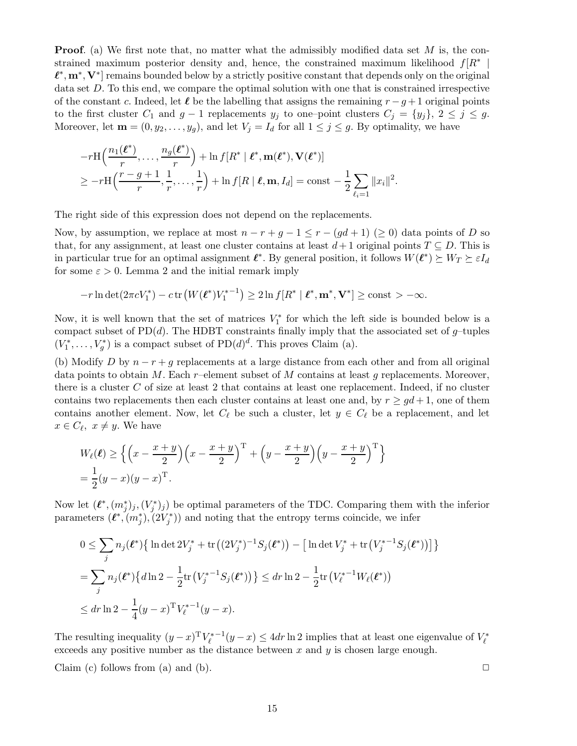**Proof.** (a) We first note that, no matter what the admissibly modified data set M is, the constrained maximum posterior density and, hence, the constrained maximum likelihood  $f[R^*]$ |  $\ell^*, \mathbf{m}^*, \mathbf{V}^*$  remains bounded below by a strictly positive constant that depends only on the original data set D. To this end, we compare the optimal solution with one that is constrained irrespective of the constant c. Indeed, let  $\ell$  be the labelling that assigns the remaining  $r - g + 1$  original points to the first cluster  $C_1$  and  $g-1$  replacements  $y_j$  to one–point clusters  $C_j = \{y_j\}, 2 \leq j \leq g$ . Moreover, let  $\mathbf{m} = (0, y_2, \dots, y_g)$ , and let  $V_j = I_d$  for all  $1 \leq j \leq g$ . By optimality, we have

$$
-r\mathrm{H}\left(\frac{n_1(\boldsymbol{\ell}^*)}{r},\ldots,\frac{n_g(\boldsymbol{\ell}^*)}{r}\right)+\ln f[R^* \mid \boldsymbol{\ell}^*,\mathbf{m}(\boldsymbol{\ell}^*),\mathbf{V}(\boldsymbol{\ell}^*)]
$$
  
\n
$$
\geq -r\mathrm{H}\left(\frac{r-g+1}{r},\frac{1}{r},\ldots,\frac{1}{r}\right)+\ln f[R \mid \boldsymbol{\ell},\mathbf{m},I_d]=\mathrm{const}-\frac{1}{2}\sum_{\ell_i=1}||x_i||^2.
$$

The right side of this expression does not depend on the replacements.

Now, by assumption, we replace at most  $n - r + g - 1 \le r - (gd + 1)$  ( $\ge 0$ ) data points of D so that, for any assignment, at least one cluster contains at least  $d+1$  original points  $T \subseteq D$ . This is in particular true for an optimal assignment  $\ell^*$ . By general position, it follows  $W(\ell^*) \succeq W_T \succeq \varepsilon I_d$ for some  $\varepsilon > 0$ . Lemma 2 and the initial remark imply

$$
-r\ln\det(2\pi cV_1^*)-c\operatorname{tr}(W(\ell^*)V_1^{*-1})\geq 2\ln f[R^* | \ell^*, \mathbf{m}^*, \mathbf{V}^*]\geq \mathrm{const}>-\infty.
$$

Now, it is well known that the set of matrices  $V_1^*$  for which the left side is bounded below is a compact subset of  $PD(d)$ . The HDBT constraints finally imply that the associated set of g-tuples  $(V_1^*, \ldots, V_g^*)$  is a compact subset of  $PD(d)^d$ . This proves Claim (a).

(b) Modify D by  $n - r + g$  replacements at a large distance from each other and from all original data points to obtain M. Each r–element subset of M contains at least q replacements. Moreover, there is a cluster  $C$  of size at least 2 that contains at least one replacement. Indeed, if no cluster contains two replacements then each cluster contains at least one and, by  $r \geq gd+1$ , one of them contains another element. Now, let  $C_{\ell}$  be such a cluster, let  $y \in C_{\ell}$  be a replacement, and let  $x \in C_{\ell}, \ x \neq y.$  We have

$$
W_{\ell}(\ell) \ge \left\{ \left( x - \frac{x+y}{2} \right) \left( x - \frac{x+y}{2} \right)^{\mathrm{T}} + \left( y - \frac{x+y}{2} \right) \left( y - \frac{x+y}{2} \right)^{\mathrm{T}} \right\}
$$
  
=  $\frac{1}{2} (y - x) (y - x)^{\mathrm{T}}.$ 

Now let  $(\ell^*, (m_j^*)_j, (V_j^*)_j)$  be optimal parameters of the TDC. Comparing them with the inferior parameters  $(\ell^*, (m_j^*), (2V_j^*))$  and noting that the entropy terms coincide, we infer

$$
0 \leq \sum_{j} n_j(\ell^*) \{ \ln \det 2V_j^* + \text{tr}((2V_j^*)^{-1}S_j(\ell^*)) - \left[ \ln \det V_j^* + \text{tr}(V_j^{*-1}S_j(\ell^*)) \right] \}
$$
  
= 
$$
\sum_{j} n_j(\ell^*) \{ d \ln 2 - \frac{1}{2} \text{tr}(V_j^{*-1}S_j(\ell^*)) \} \leq dr \ln 2 - \frac{1}{2} \text{tr}(V_{\ell}^{*-1}W_{\ell}(\ell^*))
$$
  

$$
\leq dr \ln 2 - \frac{1}{4}(y-x)^T V_{\ell}^{*-1}(y-x).
$$

The resulting inequality  $(y-x)^T V_{\ell}^{*-1}(y-x) \leq 4dr \ln 2$  implies that at least one eigenvalue of  $V_{\ell}^*$ exceeds any positive number as the distance between  $x$  and  $y$  is chosen large enough.

Claim (c) follows from (a) and (b).  $\Box$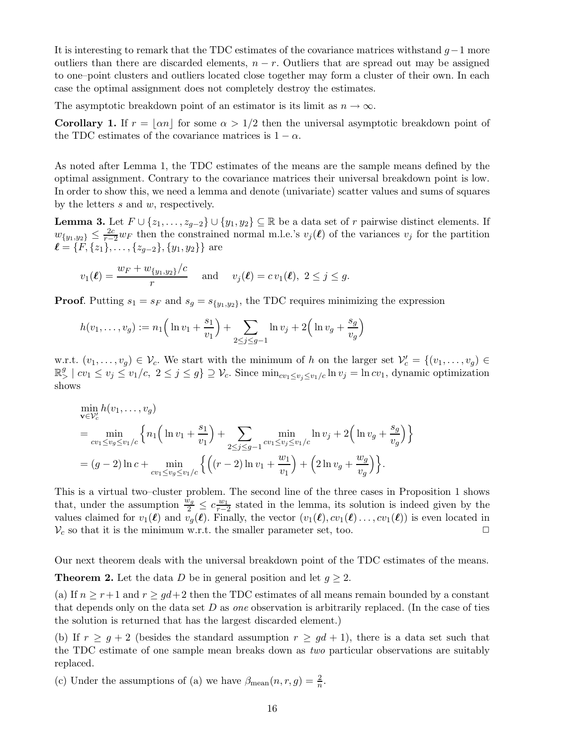It is interesting to remark that the TDC estimates of the covariance matrices withstand  $g-1$  more outliers than there are discarded elements,  $n - r$ . Outliers that are spread out may be assigned to one–point clusters and outliers located close together may form a cluster of their own. In each case the optimal assignment does not completely destroy the estimates.

The asymptotic breakdown point of an estimator is its limit as  $n \to \infty$ .

Corollary 1. If  $r = |\alpha n|$  for some  $\alpha > 1/2$  then the universal asymptotic breakdown point of the TDC estimates of the covariance matrices is  $1 - \alpha$ .

As noted after Lemma 1, the TDC estimates of the means are the sample means defined by the optimal assignment. Contrary to the covariance matrices their universal breakdown point is low. In order to show this, we need a lemma and denote (univariate) scatter values and sums of squares by the letters s and w, respectively.

**Lemma 3.** Let  $F \cup \{z_1, \ldots, z_{g-2}\} \cup \{y_1, y_2\} \subseteq \mathbb{R}$  be a data set of r pairwise distinct elements. If  $w_{\{y_1,y_2\}} \leq \frac{2c}{r-2}w_F$  then the constrained normal m.l.e.'s  $v_j(\ell)$  of the variances  $v_j$  for the partition  $\ell = {\{\vec{F}, \{z_1\}, \ldots, \{z_{g-2}\}, \{y_1, y_2\}\}}$  are

$$
v_1(\ell) = \frac{w_F + w_{\{y_1, y_2\}}/c}{r}
$$
 and  $v_j(\ell) = cv_1(\ell), 2 \le j \le g$ .

**Proof.** Putting  $s_1 = s_F$  and  $s_g = s_{\{y_1, y_2\}}$ , the TDC requires minimizing the expression

$$
h(v_1, ..., v_g) := n_1 \left( \ln v_1 + \frac{s_1}{v_1} \right) + \sum_{2 \le j \le g-1} \ln v_j + 2 \left( \ln v_g + \frac{s_g}{v_g} \right)
$$

w.r.t.  $(v_1,\ldots,v_g) \in \mathcal{V}_c$ . We start with the minimum of h on the larger set  $\mathcal{V}'_c = \{(v_1,\ldots,v_g) \in \mathcal{V}_c\}$  $\mathbb{R}^g > |cv_1 \le v_j \le v_1/c, 2 \le j \le g$   $\supseteq \mathcal{V}_c$ . Since  $\min_{cv_1 \le v_j \le v_1/c} \ln v_j = \ln cv_1$ , dynamic optimization shows

$$
\min_{\mathbf{v}\in\mathcal{V}_{c}'} h(v_{1},...,v_{g})
$$
\n
$$
= \min_{cv_{1}\leq v_{g}\leq v_{1}/c} \left\{ n_{1} \left( \ln v_{1} + \frac{s_{1}}{v_{1}} \right) + \sum_{2\leq j\leq g-1} \min_{cv_{1}\leq v_{j}\leq v_{1}/c} \ln v_{j} + 2 \left( \ln v_{g} + \frac{s_{g}}{v_{g}} \right) \right\}
$$
\n
$$
= (g-2)\ln c + \min_{cv_{1}\leq v_{g}\leq v_{1}/c} \left\{ \left( (r-2)\ln v_{1} + \frac{w_{1}}{v_{1}} \right) + \left( 2\ln v_{g} + \frac{w_{g}}{v_{g}} \right) \right\}.
$$

This is a virtual two–cluster problem. The second line of the three cases in Proposition 1 shows that, under the assumption  $\frac{\bar{w}_g}{2} \leq c \frac{w_1}{r-2}$  $\frac{w_1}{r-2}$  stated in the lemma, its solution is indeed given by the values claimed for  $v_1(\ell)$  and  $v_q(\ell)$ . Finally, the vector  $(v_1(\ell), cv_1(\ell)..., cv_1(\ell))$  is even located in  $V_c$  so that it is the minimum w.r.t. the smaller parameter set, too.  $\Box$ 

Our next theorem deals with the universal breakdown point of the TDC estimates of the means. **Theorem 2.** Let the data D be in general position and let  $g \geq 2$ .

(a) If  $n \ge r+1$  and  $r \ge gd+2$  then the TDC estimates of all means remain bounded by a constant that depends only on the data set  $D$  as *one* observation is arbitrarily replaced. (In the case of ties the solution is returned that has the largest discarded element.)

(b) If  $r \geq q+2$  (besides the standard assumption  $r \geq qd+1$ ), there is a data set such that the TDC estimate of one sample mean breaks down as two particular observations are suitably replaced.

(c) Under the assumptions of (a) we have  $\beta_{\text{mean}}(n, r, g) = \frac{2}{n}$ .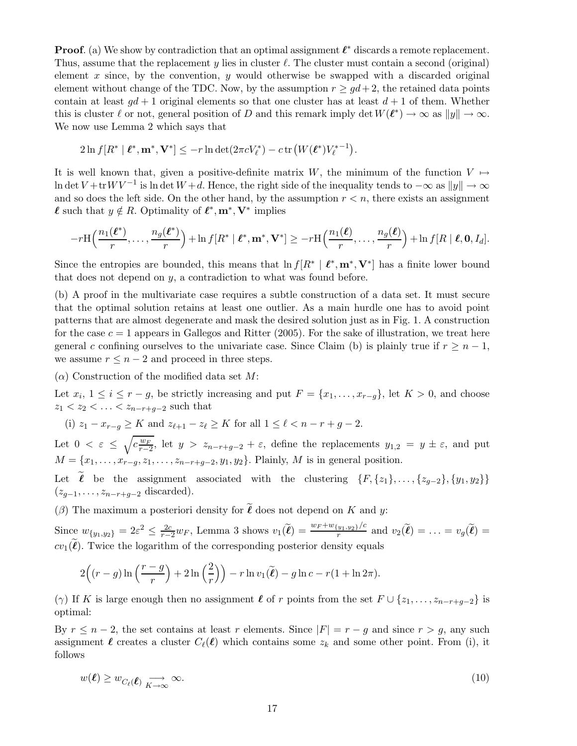**Proof.** (a) We show by contradiction that an optimal assignment  $\ell^*$  discards a remote replacement. Thus, assume that the replacement y lies in cluster  $\ell$ . The cluster must contain a second (original) element  $x$  since, by the convention,  $y$  would otherwise be swapped with a discarded original element without change of the TDC. Now, by the assumption  $r \geq gd+2$ , the retained data points contain at least  $qd+1$  original elements so that one cluster has at least  $d+1$  of them. Whether this is cluster  $\ell$  or not, general position of D and this remark imply det  $W(\ell^*) \to \infty$  as  $||y|| \to \infty$ . We now use Lemma 2 which says that

$$
2\ln f[R^* \mid \boldsymbol{\ell}^*, \mathbf{m}^*, \mathbf{V}^*] \leq -r \ln \det(2\pi c V_{\ell}^*) - c \operatorname{tr} (W(\boldsymbol{\ell}^*) {V_{\ell}^*}^{-1}).
$$

It is well known that, given a positive-definite matrix W, the minimum of the function  $V \mapsto$ ln det  $V +$ tr $W V^{-1}$  is ln det  $W + d$ . Hence, the right side of the inequality tends to  $-\infty$  as  $||y|| \to \infty$ and so does the left side. On the other hand, by the assumption  $r < n$ , there exists an assignment  $\ell$  such that  $y \notin R$ . Optimality of  $\ell^*, \mathbf{m}^*, \mathbf{V}^*$  implies

$$
-r\mathrm H\Big(\frac{n_1(\boldsymbol\ell^*)}{r},\ldots,\frac{n_g(\boldsymbol\ell^*)}{r}\Big)+\ln f[R^*\mid \boldsymbol\ell^*, \mathbf m^*, \mathbf V^*] \ge -r\mathrm H\Big(\frac{n_1(\boldsymbol\ell)}{r},\ldots,\frac{n_g(\boldsymbol\ell)}{r}\Big)+\ln f[R\mid \boldsymbol\ell, \mathbf 0, I_d].
$$

Since the entropies are bounded, this means that  $\ln f[R^* | \ell^*, m^*, V^*]$  has a finite lower bound that does not depend on y, a contradiction to what was found before.

(b) A proof in the multivariate case requires a subtle construction of a data set. It must secure that the optimal solution retains at least one outlier. As a main hurdle one has to avoid point patterns that are almost degenerate and mask the desired solution just as in Fig. 1. A construction for the case  $c = 1$  appears in Gallegos and Ritter (2005). For the sake of illustration, we treat here general c confining ourselves to the univariate case. Since Claim (b) is plainly true if  $r \geq n-1$ , we assume  $r \leq n-2$  and proceed in three steps.

 $(\alpha)$  Construction of the modified data set M:

Let  $x_i$ ,  $1 \le i \le r - g$ , be strictly increasing and put  $F = \{x_1, \ldots, x_{r-g}\}$ , let  $K > 0$ , and choose  $z_1 < z_2 < \ldots < z_{n-r+q-2}$  such that

(i)  $z_1 - x_{r-q} \geq K$  and  $z_{\ell+1} - z_{\ell} \geq K$  for all  $1 \leq \ell < n-r+q-2$ .

Let  $0 < \varepsilon \leq \sqrt{c \frac{w_F}{r-2}}$ , let  $y > z_{n-r+g-2} + \varepsilon$ , define the replacements  $y_{1,2} = y \pm \varepsilon$ , and put  $M = \{x_1, \ldots, x_{r-q}, z_1, \ldots, z_{n-r+q-2}, y_1, y_2\}.$  Plainly, M is in general position.

Let  $\tilde{\ell}$  be the assignment associated with the clustering  $\{F, \{z_1\}, \ldots, \{z_{g-2}\}, \{y_1, y_2\}\}\$  $(z_{g-1}, \ldots, z_{n-r+g-2} \text{ discarded}).$ 

( $\beta$ ) The maximum a posteriori density for  $\ell$  does not depend on K and y:

Since  $w_{\{y_1,y_2\}} = 2\varepsilon^2 \leq \frac{2c}{r-2}w_F$ , Lemma 3 shows  $v_1(\tilde{\ell}) = \frac{w_F + w_{\{y_1,y_2\}}/c}{r}$  and  $v_2(\tilde{\ell}) = \ldots = v_g(\tilde{\ell}) =$  $cv_1(\ell)$ . Twice the logarithm of the corresponding posterior density equals

$$
2\Big((r-g)\ln\left(\frac{r-g}{r}\right)+2\ln\left(\frac{2}{r}\right)\Big)-r\ln v_1(\widetilde{\ell})-g\ln c-r(1+\ln 2\pi).
$$

( $\gamma$ ) If K is large enough then no assignment  $\ell$  of r points from the set  $F \cup \{z_1, \ldots, z_{n-r+q-2}\}\$ is optimal:

By  $r \leq n-2$ , the set contains at least r elements. Since  $|F| = r - g$  and since  $r > g$ , any such assignment  $\ell$  creates a cluster  $C_{\ell}(\ell)$  which contains some  $z_k$  and some other point. From (i), it follows

$$
w(\ell) \ge w_{C_{\ell}(\ell)} \underset{K \to \infty}{\longrightarrow} \infty. \tag{10}
$$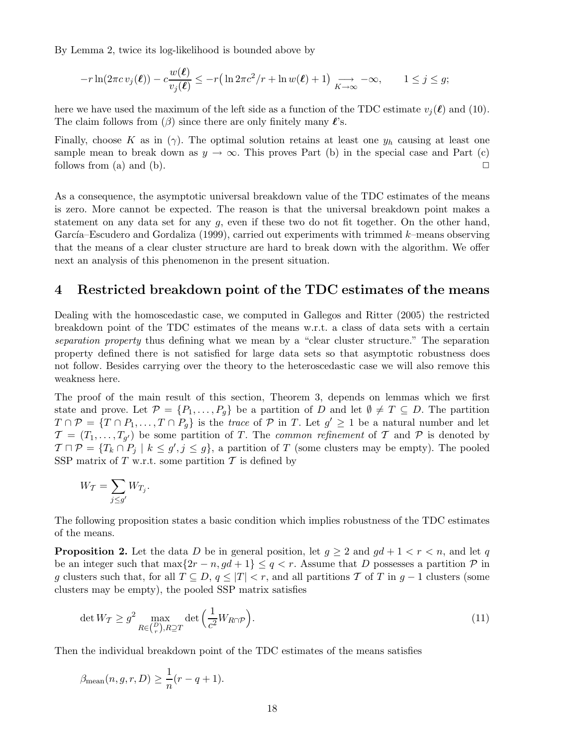By Lemma 2, twice its log-likelihood is bounded above by

$$
-r\ln(2\pi cv_j(\boldsymbol{\ell})) - c\frac{w(\boldsymbol{\ell})}{v_j(\boldsymbol{\ell})} \leq -r\left(\ln 2\pi c^2/r + \ln w(\boldsymbol{\ell}) + 1\right) \underset{K \to \infty}{\longrightarrow} -\infty, \qquad 1 \leq j \leq g;
$$

here we have used the maximum of the left side as a function of the TDC estimate  $v_i(\ell)$  and (10). The claim follows from  $(\beta)$  since there are only finitely many  $\ell$ 's.

Finally, choose K as in (γ). The optimal solution retains at least one  $y_h$  causing at least one sample mean to break down as  $y \to \infty$ . This proves Part (b) in the special case and Part (c) follows from (a) and (b).  $\Box$ 

As a consequence, the asymptotic universal breakdown value of the TDC estimates of the means is zero. More cannot be expected. The reason is that the universal breakdown point makes a statement on any data set for any g, even if these two do not fit together. On the other hand, García–Escudero and Gordaliza (1999), carried out experiments with trimmed  $k$ –means observing that the means of a clear cluster structure are hard to break down with the algorithm. We offer next an analysis of this phenomenon in the present situation.

## 4 Restricted breakdown point of the TDC estimates of the means

Dealing with the homoscedastic case, we computed in Gallegos and Ritter (2005) the restricted breakdown point of the TDC estimates of the means w.r.t. a class of data sets with a certain separation property thus defining what we mean by a "clear cluster structure." The separation property defined there is not satisfied for large data sets so that asymptotic robustness does not follow. Besides carrying over the theory to the heteroscedastic case we will also remove this weakness here.

The proof of the main result of this section, Theorem 3, depends on lemmas which we first state and prove. Let  $\mathcal{P} = \{P_1, \ldots, P_q\}$  be a partition of D and let  $\emptyset \neq T \subseteq D$ . The partition  $T \cap \mathcal{P} = \{T \cap P_1, \ldots, T \cap P_g\}$  is the *trace* of  $\mathcal{P}$  in T. Let  $g' \geq 1$  be a natural number and let  $\mathcal{T} = (T_1, \ldots, T_{g'})$  be some partition of T. The *common refinement* of T and P is denoted by  $\mathcal{T} \cap \mathcal{P} = \{T_k \cap P_j \mid k \leq g', j \leq g\}$ , a partition of T (some clusters may be empty). The pooled SSP matrix of T w.r.t. some partition  $T$  is defined by

$$
W_{\mathcal{T}} = \sum_{j \leq g'} W_{T_j}.
$$

The following proposition states a basic condition which implies robustness of the TDC estimates of the means.

**Proposition 2.** Let the data D be in general position, let  $g \ge 2$  and  $gd + 1 < r < n$ , and let q be an integer such that  $\max\{2r - n, gd + 1\} \leq q < r$ . Assume that D possesses a partition P in g clusters such that, for all  $T \subseteq D$ ,  $q \leq |T| < r$ , and all partitions T of T in  $q - 1$  clusters (some clusters may be empty), the pooled SSP matrix satisfies

$$
\det W_{\mathcal{T}} \ge g^2 \max_{R \in \binom{P}{r}, R \supseteq T} \det \left( \frac{1}{c^2} W_{R \cap \mathcal{P}} \right). \tag{11}
$$

Then the individual breakdown point of the TDC estimates of the means satisfies

$$
\beta_{\text{mean}}(n, g, r, D) \ge \frac{1}{n}(r - q + 1).
$$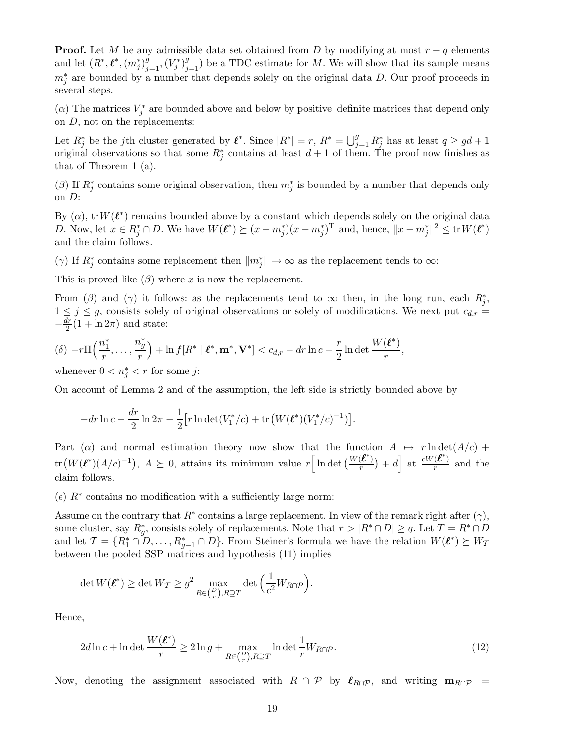**Proof.** Let M be any admissible data set obtained from D by modifying at most  $r - q$  elements and let  $(R^*, \ell^*, (m_j^*)_{j=1}^g, (V_j^*)_{j=1}^g)$  be a TDC estimate for M. We will show that its sample means  $m_j^*$  are bounded by a number that depends solely on the original data D. Our proof proceeds in several steps.

( $\alpha$ ) The matrices  $V_j^*$  are bounded above and below by positive–definite matrices that depend only on D, not on the replacements:

Let  $R_j^*$  be the jth cluster generated by  $\ell^*$ . Since  $|R^*|=r$ ,  $R^*=\bigcup_{j=1}^g R_j^*$  has at least  $q\geq gd+1$ original observations so that some  $R_j^*$  contains at least  $d+1$  of them. The proof now finishes as that of Theorem 1 (a).

(β) If  $R_j^*$  contains some original observation, then  $m_j^*$  is bounded by a number that depends only on D:

By  $(\alpha)$ , tr $W(\ell^*)$  remains bounded above by a constant which depends solely on the original data D. Now, let  $x \in R_j^* \cap D$ . We have  $W(\ell^*) \succeq (x - m_j^*)(x - m_j^*)^T$  and, hence,  $||x - m_j^*||^2 \leq \text{tr} W(\ell^*)$ and the claim follows.

( $\gamma$ ) If  $R_j^*$  contains some replacement then  $||m_j^*|| \to \infty$  as the replacement tends to  $\infty$ :

This is proved like  $(\beta)$  where x is now the replacement.

From ( $\beta$ ) and ( $\gamma$ ) it follows: as the replacements tend to  $\infty$  then, in the long run, each  $R_j^*$ ,  $1 \leq j \leq g$ , consists solely of original observations or solely of modifications. We next put  $c_{d,r}$  =  $-\frac{dr}{2}(1+\ln 2\pi)$  and state:

$$
(\delta) - r \mathcal{H}\left(\frac{n_1^*}{r}, \dots, \frac{n_g^*}{r}\right) + \ln f[R^* \mid \boldsymbol{\ell}^*, \mathbf{m}^*, \mathbf{V}^*] < c_{d,r} - dr \ln c - \frac{r}{2} \ln \det \frac{W(\boldsymbol{\ell}^*)}{r},
$$

whenever  $0 < n_j^* < r$  for some j:

On account of Lemma 2 and of the assumption, the left side is strictly bounded above by

$$
-dr\ln c - \frac{dr}{2}\ln 2\pi - \frac{1}{2}\Big[r\ln \det(V_1^*/c) + \text{tr}\left(W(\ell^*)(V_1^*/c)^{-1}\right)\Big].
$$

Part (a) and normal estimation theory now show that the function  $A \mapsto r \ln \det(A/c)$  +  $\text{tr}\left(W(\ell^*)(A/c)^{-1}\right), A \succeq 0, \text{ attains its minimum value } r\Big[\ln \det \big(\frac{W(\ell^*)}{r}\big)\Big]$  $\left(\frac{\ell^*}{r}\right)$  + d at  $\frac{cW(\ell^*)}{r}$  $\frac{(\mathcal{L})}{r}$  and the claim follows.

( $\epsilon$ )  $R^*$  contains no modification with a sufficiently large norm:

Assume on the contrary that  $R^*$  contains a large replacement. In view of the remark right after  $(\gamma)$ , some cluster, say  $R_g^*$ , consists solely of replacements. Note that  $r > |R^* \cap D| \ge q$ . Let  $T = R^* \cap D$ and let  $\mathcal{T} = \{R_1^* \cap D, \ldots, R_{g-1}^* \cap D\}$ . From Steiner's formula we have the relation  $W(\ell^*) \succeq W_{\mathcal{T}}$ between the pooled SSP matrices and hypothesis (11) implies

$$
\det W(\boldsymbol{\ell}^*) \ge \det W_{\mathcal{T}} \ge g^2 \max_{R \in \binom{D}{r}, R \supseteq T} \det \left( \frac{1}{c^2} W_{R \cap \mathcal{P}} \right).
$$

Hence,

$$
2d\ln c + \ln \det \frac{W(\ell^*)}{r} \ge 2\ln g + \max_{R \in \binom{D}{r}, R \supseteq T} \ln \det \frac{1}{r} W_{R \cap \mathcal{P}}.\tag{12}
$$

Now, denoting the assignment associated with  $R \cap \mathcal{P}$  by  $\ell_{R \cap \mathcal{P}}$ , and writing  $\mathbf{m}_{R \cap \mathcal{P}}$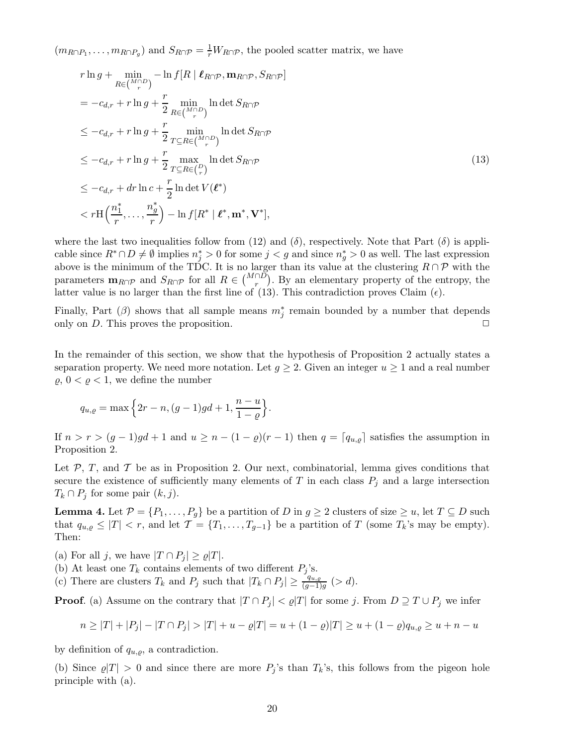$(m_{R\cap P_1}, \ldots, m_{R\cap P_g})$  and  $S_{R\cap P} = \frac{1}{r}W_{R\cap P}$ , the pooled scatter matrix, we have

$$
r \ln g + \min_{R \in \binom{M \cap D}{r}} -\ln f[R \mid \ell_{R \cap \mathcal{P}}, \mathbf{m}_{R \cap \mathcal{P}}, S_{R \cap \mathcal{P}}]
$$
  
\n
$$
= -c_{d,r} + r \ln g + \frac{r}{2} \min_{R \in \binom{M \cap D}{r}} \ln \det S_{R \cap \mathcal{P}}
$$
  
\n
$$
\leq -c_{d,r} + r \ln g + \frac{r}{2} \min_{T \subseteq R \in \binom{M \cap D}{r}} \ln \det S_{R \cap \mathcal{P}}
$$
  
\n
$$
\leq -c_{d,r} + r \ln g + \frac{r}{2} \max_{T \subseteq R \in \binom{D}{r}} \ln \det S_{R \cap \mathcal{P}}
$$
  
\n
$$
\leq -c_{d,r} + dr \ln c + \frac{r}{2} \ln \det V(\ell^*)
$$
  
\n
$$
< r \ln \left( \frac{n_1^*}{r}, \dots, \frac{n_g^*}{r} \right) - \ln f[R^* \mid \ell^*, \mathbf{m}^*, \mathbf{V}^*],
$$
\n(13)

where the last two inequalities follow from (12) and  $(\delta)$ , respectively. Note that Part  $(\delta)$  is applicable since  $R^* \cap D \neq \emptyset$  implies  $n_j^* > 0$  for some  $j < g$  and since  $n_g^* > 0$  as well. The last expression above is the minimum of the TDC. It is no larger than its value at the clustering  $R \cap \mathcal{P}$  with the parameters  $\mathbf{m}_{R\cap P}$  and  $S_{R\cap P}$  for all  $R \in \binom{M\cap D}{r}$ . By an elementary property of the entropy, the latter value is no larger than the first line of (13). This contradiction proves Claim  $(\epsilon)$ .

Finally, Part ( $\beta$ ) shows that all sample means  $m_j^*$  remain bounded by a number that depends only on D. This proves the proposition.  $\Box$ 

In the remainder of this section, we show that the hypothesis of Proposition 2 actually states a separation property. We need more notation. Let  $g \geq 2$ . Given an integer  $u \geq 1$  and a real number  $\varrho, 0 < \varrho < 1$ , we define the number

$$
q_{u,\varrho} = \max\left\{2r - n, (g-1)gd + 1, \frac{n-u}{1-\varrho}\right\}
$$

If  $n > r > (g-1)gd + 1$  and  $u \ge n - (1 - \varrho)(r-1)$  then  $q = [q_{u,\varrho}]$  satisfies the assumption in Proposition 2.

.

Let  $P$ ,  $T$ , and  $T$  be as in Proposition 2. Our next, combinatorial, lemma gives conditions that secure the existence of sufficiently many elements of T in each class  $P_j$  and a large intersection  $T_k \cap P_j$  for some pair  $(k, j)$ .

**Lemma 4.** Let  $\mathcal{P} = \{P_1, \ldots, P_g\}$  be a partition of D in  $g \geq 2$  clusters of size  $\geq u$ , let  $T \subseteq D$  such that  $q_{u,g} \leq |T| < r$ , and let  $\mathcal{T} = \{T_1, \ldots, T_{g-1}\}$  be a partition of T (some  $T_k$ 's may be empty). Then:

(a) For all j, we have  $|T \cap P_i| \ge \rho |T|$ .

(b) At least one  $T_k$  contains elements of two different  $P_i$ 's.

(c) There are clusters  $T_k$  and  $P_j$  such that  $|T_k \cap P_j| \ge \frac{q_{u,\varrho}}{(g-1)g}$  (> d).

**Proof.** (a) Assume on the contrary that  $|T \cap P_j| < \rho |T|$  for some j. From  $D \supseteq T \cup P_j$  we infer

$$
n \geq |T| + |P_j| - |T \cap P_j| > |T| + u - \varrho|T| = u + (1 - \varrho)|T| \geq u + (1 - \varrho)q_{u, \varrho} \geq u + n - u
$$

by definition of  $q_{u,o}$ , a contradiction.

(b) Since  $\varrho|T| > 0$  and since there are more  $P_i$ 's than  $T_k$ 's, this follows from the pigeon hole principle with (a).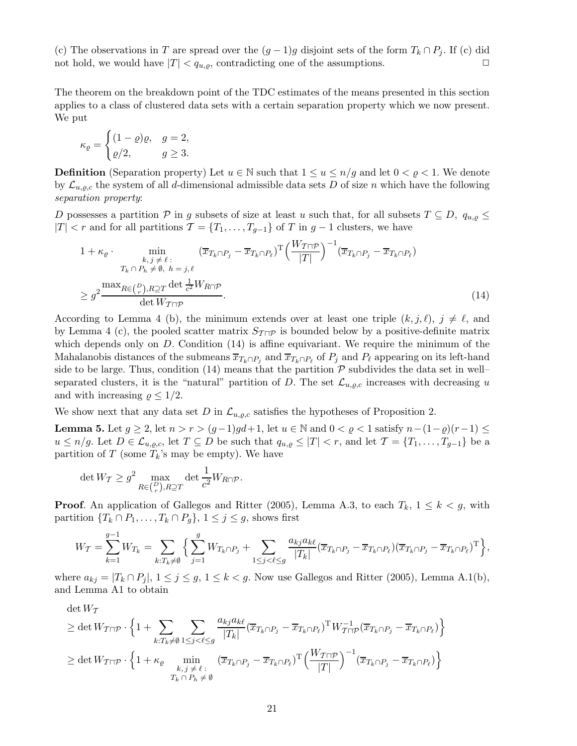(c) The observations in T are spread over the  $(g-1)g$  disjoint sets of the form  $T_k \cap P_j$ . If (c) did not hold, we would have  $|T| < q_{u,\rho}$ , contradicting one of the assumptions.

The theorem on the breakdown point of the TDC estimates of the means presented in this section applies to a class of clustered data sets with a certain separation property which we now present. We put

$$
\kappa_{\varrho} = \begin{cases} (1-\varrho)\varrho, & g=2,\\ \varrho/2, & g\geq 3. \end{cases}
$$

**Definition** (Separation property) Let  $u \in \mathbb{N}$  such that  $1 \le u \le n/g$  and let  $0 < \varrho < 1$ . We denote by  $\mathcal{L}_{u,q,c}$  the system of all d-dimensional admissible data sets D of size n which have the following separation property:

D possesses a partition P in g subsets of size at least u such that, for all subsets  $T \subseteq D$ ,  $q_{u,o} \leq$ |T| < r and for all partitions  $\mathcal{T} = \{T_1, \ldots, T_{g-1}\}$  of T in  $g-1$  clusters, we have

$$
1 + \kappa_{\varrho} \cdot \min_{\substack{k,j \neq \ell \; : \\ T_k \cap P_h \neq \emptyset, \; h = j, \ell}} (\overline{x}_{T_k \cap P_j} - \overline{x}_{T_k \cap P_\ell})^{\mathrm{T}} \Big(\frac{W_{\mathcal{T} \cap \mathcal{P}}}{|T|}\Big)^{-1} (\overline{x}_{T_k \cap P_j} - \overline{x}_{T_k \cap P_\ell})
$$
  

$$
\geq g^2 \frac{\max_{R \in \binom{P}{r}, R \supseteq T} \det \frac{1}{c^2} W_{R \cap \mathcal{P}}}{\det W_{\mathcal{T} \cap \mathcal{P}}}.
$$
 (14)

According to Lemma 4 (b), the minimum extends over at least one triple  $(k, j, \ell)$ ,  $j \neq \ell$ , and by Lemma 4 (c), the pooled scatter matrix  $S_{\mathcal{I}\cap\mathcal{P}}$  is bounded below by a positive-definite matrix which depends only on  $D$ . Condition (14) is affine equivariant. We require the minimum of the Mahalanobis distances of the submeans  $\overline{x}_{T_k \cap P_j}$  and  $\overline{x}_{T_k \cap P_\ell}$  of  $P_j$  and  $P_\ell$  appearing on its left-hand side to be large. Thus, condition (14) means that the partition  $P$  subdivides the data set in well– separated clusters, it is the "natural" partition of D. The set  $\mathcal{L}_{u,q,c}$  increases with decreasing u and with increasing  $\rho \leq 1/2$ .

We show next that any data set D in  $\mathcal{L}_{u,\varrho,c}$  satisfies the hypotheses of Proposition 2.

**Lemma 5.** Let  $g \ge 2$ , let  $n > r > (g-1)gd+1$ , let  $u \in \mathbb{N}$  and  $0 < \varrho < 1$  satisfy  $n-(1-\varrho)(r-1) \le$  $u \leq n/g$ . Let  $D \in \mathcal{L}_{u,g,c}$ , let  $T \subseteq D$  be such that  $q_{u,g} \leq |T| < r$ , and let  $\mathcal{T} = \{T_1, \ldots, T_{g-1}\}$  be a partition of T (some  $T_k$ 's may be empty). We have

$$
\det W_{\mathcal{T}} \geq g^2 \max_{R \in {D \choose r}, R \supseteq T} \det \frac{1}{c^2} W_{R \cap \mathcal{P}}.
$$

**Proof.** An application of Gallegos and Ritter (2005), Lemma A.3, to each  $T_k$ ,  $1 \leq k \leq g$ , with partition  $\{T_k \cap P_1, \ldots, T_k \cap P_q\}, 1 \leq j \leq g$ , shows first

$$
W_{\mathcal{T}} = \sum_{k=1}^{g-1} W_{T_k} = \sum_{k:T_k \neq \emptyset} \Big\{ \sum_{j=1}^g W_{T_k \cap P_j} + \sum_{1 \leq j < \ell \leq g} \frac{a_{kj} a_{k\ell}}{|T_k|} (\overline{x}_{T_k \cap P_j} - \overline{x}_{T_k \cap P_\ell}) (\overline{x}_{T_k \cap P_j} - \overline{x}_{T_k \cap P_\ell})^{\mathrm{T}} \Big\},
$$

where  $a_{kj} = |T_k \cap P_j|, 1 \leq j \leq g, 1 \leq k < g$ . Now use Gallegos and Ritter (2005), Lemma A.1(b), and Lemma A1 to obtain

 $\det W_{\mathcal{T}}$ 

$$
\geq \det W_{T\sqcap \mathcal{P}} \cdot \left\{ 1 + \sum_{k:T_k \neq \emptyset} \sum_{1 \leq j < \ell \leq g} \frac{a_{kj}a_{k\ell}}{|T_k|} (\overline{x}_{T_k \cap P_j} - \overline{x}_{T_k \cap P_\ell})^{\mathrm{T}} W_{T\sqcap \mathcal{P}}^{-1} (\overline{x}_{T_k \cap P_j} - \overline{x}_{T_k \cap P_\ell}) \right\}
$$
\n
$$
\geq \det W_{T\sqcap \mathcal{P}} \cdot \left\{ 1 + \kappa_{\varrho} \min_{\substack{k,j \neq \ell \\ T_k \cap P_h \neq \emptyset}} (\overline{x}_{T_k \cap P_j} - \overline{x}_{T_k \cap P_\ell})^{\mathrm{T}} \left( \frac{W_{T\sqcap \mathcal{P}}}{|T|} \right)^{-1} (\overline{x}_{T_k \cap P_j} - \overline{x}_{T_k \cap P_\ell}) \right\}
$$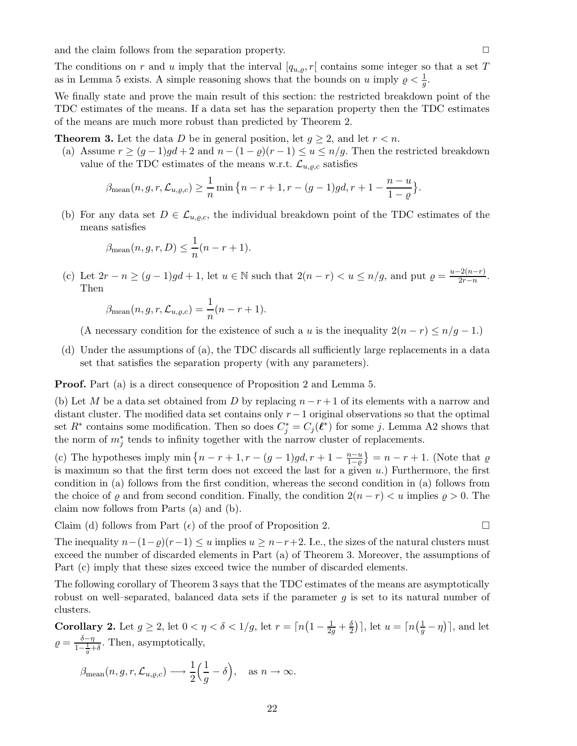and the claim follows from the separation property.  $\Box$ 

The conditions on r and u imply that the interval  $[q_{u,\rho}, r]$  contains some integer so that a set T as in Lemma 5 exists. A simple reasoning shows that the bounds on u imply  $\rho < \frac{1}{g}$ .

We finally state and prove the main result of this section: the restricted breakdown point of the TDC estimates of the means. If a data set has the separation property then the TDC estimates of the means are much more robust than predicted by Theorem 2.

**Theorem 3.** Let the data D be in general position, let  $g \geq 2$ , and let  $r < n$ .

(a) Assume  $r \ge (g-1)gd + 2$  and  $n - (1 - \varrho)(r-1) \le u \le n/g$ . Then the restricted breakdown value of the TDC estimates of the means w.r.t.  $\mathcal{L}_{u,\varrho,c}$  satisfies

$$
\beta_{\text{mean}}(n, g, r, \mathcal{L}_{u, \varrho, c}) \ge \frac{1}{n} \min \left\{ n - r + 1, r - (g - 1) g d, r + 1 - \frac{n - u}{1 - \varrho} \right\}.
$$

(b) For any data set  $D \in \mathcal{L}_{u,\rho,c}$ , the individual breakdown point of the TDC estimates of the means satisfies

$$
\beta_{\text{mean}}(n, g, r, D) \le \frac{1}{n}(n - r + 1).
$$

(c) Let  $2r - n \ge (g - 1)gd + 1$ , let  $u \in \mathbb{N}$  such that  $2(n - r) < u \le n/g$ , and put  $\varrho = \frac{u - 2(n-r)}{2r - n}$  $\frac{2(n-r)}{2r-n}.$ Then

$$
\beta_{\text{mean}}(n, g, r, \mathcal{L}_{u, \varrho, c}) = \frac{1}{n}(n - r + 1).
$$

(A necessary condition for the existence of such a u is the inequality  $2(n - r) \leq n/g - 1$ .)

(d) Under the assumptions of (a), the TDC discards all sufficiently large replacements in a data set that satisfies the separation property (with any parameters).

Proof. Part (a) is a direct consequence of Proposition 2 and Lemma 5.

(b) Let M be a data set obtained from D by replacing  $n - r + 1$  of its elements with a narrow and distant cluster. The modified data set contains only r−1 original observations so that the optimal set  $R^*$  contains some modification. Then so does  $C_j^* = C_j(\ell^*)$  for some j. Lemma A2 shows that the norm of  $m_j^*$  tends to infinity together with the narrow cluster of replacements.

(c) The hypotheses imply min  $\{n-r+1, r-(g-1)gd, r+1-\frac{n-u}{1-\alpha}\}$  $\left\{\frac{n-u}{1-\varrho}\right\} = n-r+1$ . (Note that  $\varrho$ is maximum so that the first term does not exceed the last for a given  $u$ .) Furthermore, the first condition in (a) follows from the first condition, whereas the second condition in (a) follows from the choice of  $\varrho$  and from second condition. Finally, the condition  $2(n - r) < u$  implies  $\varrho > 0$ . The claim now follows from Parts (a) and (b).

Claim (d) follows from Part  $(\epsilon)$  of the proof of Proposition 2.

The inequality  $n-(1-\varrho)(r-1) \leq u$  implies  $u \geq n-r+2$ . I.e., the sizes of the natural clusters must exceed the number of discarded elements in Part (a) of Theorem 3. Moreover, the assumptions of Part (c) imply that these sizes exceed twice the number of discarded elements.

The following corollary of Theorem 3 says that the TDC estimates of the means are asymptotically robust on well–separated, balanced data sets if the parameter  $g$  is set to its natural number of clusters.

Corollary 2. Let  $g \ge 2$ , let  $0 < \eta < \delta < 1/g$ , let  $r = \lceil n \left(1 - \frac{1}{2g} + \frac{\delta}{2}\right)$  $\left(\frac{\delta}{2}\right)$ , let  $u = \left\lceil n\left(\frac{1}{g} - \eta\right)\right\rceil$ , and let  $\rho = \frac{\delta - \eta}{1 - \frac{1}{g} + \delta}$ . Then, asymptotically,

$$
\beta_{\text{mean}}(n, g, r, \mathcal{L}_{u, \varrho, c}) \longrightarrow \frac{1}{2} \left( \frac{1}{g} - \delta \right), \text{ as } n \to \infty.
$$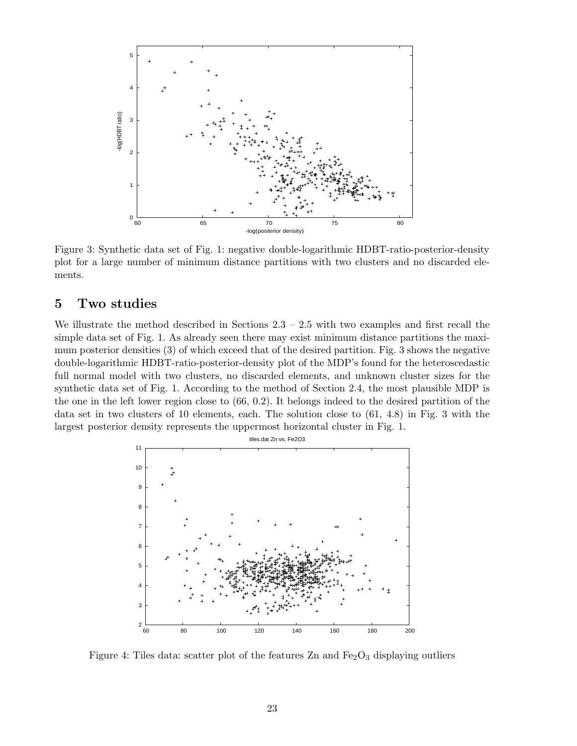

Figure 3: Synthetic data set of Fig. 1: negative double-logarithmic HDBT-ratio-posterior-density plot for a large number of minimum distance partitions with two clusters and no discarded elements.

# 5 Two studies

We illustrate the method described in Sections  $2.3 - 2.5$  with two examples and first recall the simple data set of Fig. 1. As already seen there may exist minimum distance partitions the maximum posterior densities (3) of which exceed that of the desired partition. Fig. 3 shows the negative double-logarithmic HDBT-ratio-posterior-density plot of the MDP's found for the heteroscedastic full normal model with two clusters, no discarded elements, and unknown cluster sizes for the synthetic data set of Fig. 1. According to the method of Section 2.4, the most plausible MDP is the one in the left lower region close to (66, 0.2). It belongs indeed to the desired partition of the data set in two clusters of 10 elements, each. The solution close to (61, 4.8) in Fig. 3 with the largest posterior density represents the uppermost horizontal cluster in Fig. 1.



Figure 4: Tiles data: scatter plot of the features  $Zn$  and  $Fe<sub>2</sub>O<sub>3</sub>$  displaying outliers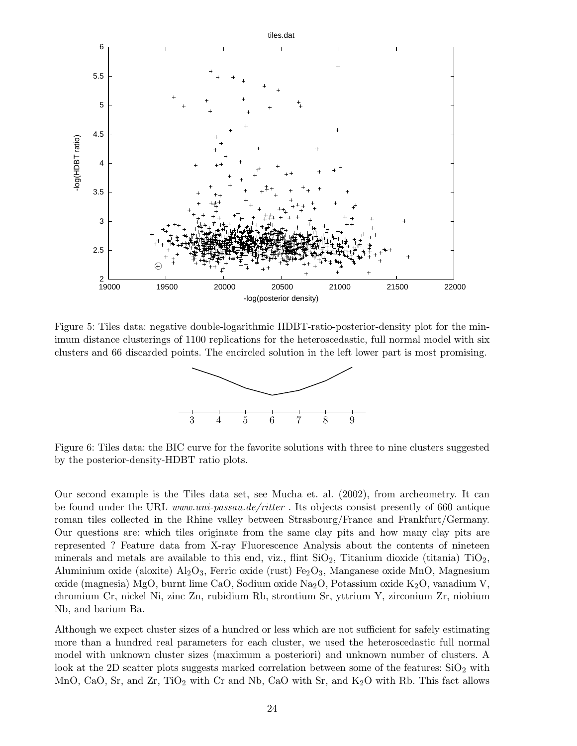

Figure 5: Tiles data: negative double-logarithmic HDBT-ratio-posterior-density plot for the minimum distance clusterings of 1100 replications for the heteroscedastic, full normal model with six clusters and 66 discarded points. The encircled solution in the left lower part is most promising.



Figure 6: Tiles data: the BIC curve for the favorite solutions with three to nine clusters suggested by the posterior-density-HDBT ratio plots.

Our second example is the Tiles data set, see Mucha et. al. (2002), from archeometry. It can be found under the URL www.uni-passau.de/ritter. Its objects consist presently of 660 antique roman tiles collected in the Rhine valley between Strasbourg/France and Frankfurt/Germany. Our questions are: which tiles originate from the same clay pits and how many clay pits are represented ? Feature data from X-ray Fluorescence Analysis about the contents of nineteen minerals and metals are available to this end, viz., flint  $SiO_2$ , Titanium dioxide (titania)  $TiO_2$ , Aluminium oxide (aloxite)  $Al_2O_3$ , Ferric oxide (rust) Fe<sub>2</sub>O<sub>3</sub>, Manganese oxide MnO, Magnesium oxide (magnesia) MgO, burnt lime CaO, Sodium oxide Na<sub>2</sub>O, Potassium oxide K<sub>2</sub>O, vanadium V, chromium Cr, nickel Ni, zinc Zn, rubidium Rb, strontium Sr, yttrium Y, zirconium Zr, niobium Nb, and barium Ba.

Although we expect cluster sizes of a hundred or less which are not sufficient for safely estimating more than a hundred real parameters for each cluster, we used the heteroscedastic full normal model with unknown cluster sizes (maximum a posteriori) and unknown number of clusters. A look at the 2D scatter plots suggests marked correlation between some of the features:  $SiO<sub>2</sub>$  with MnO, CaO, Sr, and  $Zr$ , TiO<sub>2</sub> with Cr and Nb, CaO with Sr, and  $K_2O$  with Rb. This fact allows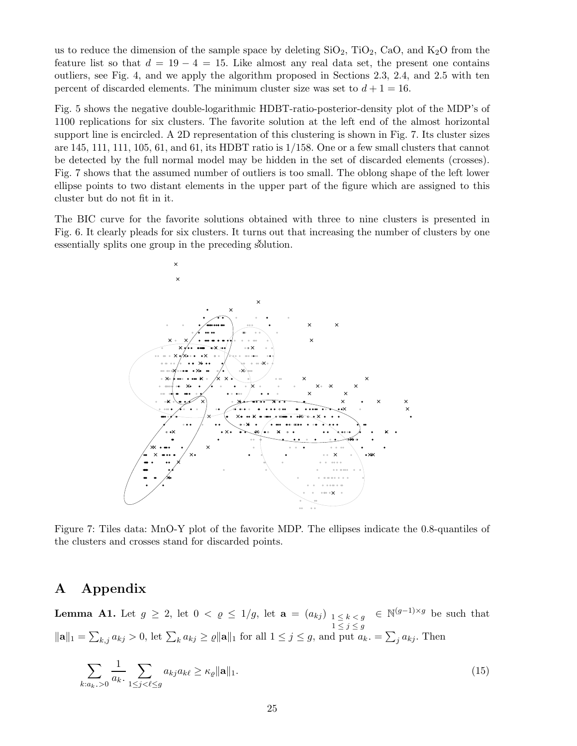us to reduce the dimension of the sample space by deleting  $SiO_2$ ,  $TiO_2$ ,  $CaO$ , and  $K_2O$  from the feature list so that  $d = 19 - 4 = 15$ . Like almost any real data set, the present one contains outliers, see Fig. 4, and we apply the algorithm proposed in Sections 2.3, 2.4, and 2.5 with ten percent of discarded elements. The minimum cluster size was set to  $d+1=16$ .

Fig. 5 shows the negative double-logarithmic HDBT-ratio-posterior-density plot of the MDP's of 1100 replications for six clusters. The favorite solution at the left end of the almost horizontal support line is encircled. A 2D representation of this clustering is shown in Fig. 7. Its cluster sizes are  $145$ ,  $111$ ,  $111$ ,  $105$ ,  $61$ , and  $61$ , its HDBT ratio is  $1/158$ . One or a few small clusters that cannot be detected by the full normal model may be hidden in the set of discarded elements (crosses). Fig. 7 shows that the assumed number of outliers is too small. The oblong shape of the left lower ellipse points to two distant elements in the upper part of the figure which are assigned to this cluster but do not fit in it.

The BIC curve for the favorite solutions obtained with three to nine clusters is presented in Fig. 6. It clearly pleads for six clusters. It turns out that increasing the number of clusters by one essentially splits one group in the preceding solution.



Figure 7: Tiles data: MnO-Y plot of the favorite MDP. The ellipses indicate the 0.8-quantiles of the clusters and crosses stand for discarded points.

# A Appendix

**Lemma A1.** Let  $g \geq 2$ , let  $0 < \varrho \leq 1/g$ , let  $\mathbf{a} = (a_{kj})_{1 \leq k < g} \in \mathbb{N}^{(g-1)\times g}$  be such that  $1 \leq j \leq g$  $\|\mathbf{a}\|_1 = \sum_{k,j} a_{kj} > 0$ , let  $\sum_k a_{kj} \geq \varrho \|\mathbf{a}\|_1$  for all  $1 \leq j \leq g$ , and put  $a_k = \sum_j a_{kj}$ . Then

$$
\sum_{k:a_k,>0} \frac{1}{a_k} \sum_{1 \le j < \ell \le g} a_{kj} a_{k\ell} \ge \kappa_\ell \|\mathbf{a}\|_1. \tag{15}
$$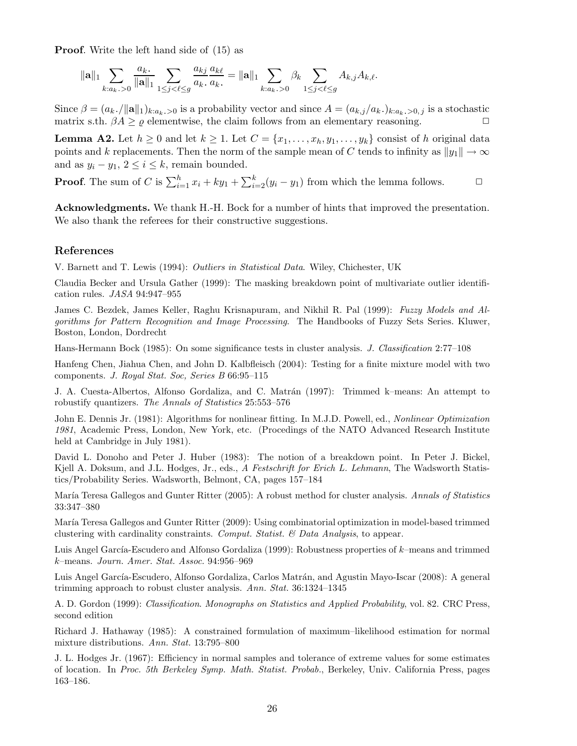Proof. Write the left hand side of (15) as

$$
\|{\mathbf a}\|_1 \sum_{k: a_k, \, >0} \frac{a_k}{\|{\mathbf a}\|_1} \sum_{1 \le j < \ell \le g} \frac{a_{kj}}{a_k}\frac{a_{k\ell}}{a_k,} = \|{\mathbf a}\|_1 \sum_{k: a_k, \, >0} \beta_k \sum_{1 \le j < \ell \le g} A_{k,j} A_{k,\ell}.
$$

Since  $\beta = (a_k, /||\mathbf{a}||_1)_{k:a_k,0}$  is a probability vector and since  $A = (a_{k,j}/a_k, b_{k:a_k,0}$  is a stochastic matrix s.th.  $\beta A \geq \varrho$  elementwise, the claim follows from an elementary reasoning.  $\Box$ 

**Lemma A2.** Let  $h \geq 0$  and let  $k \geq 1$ . Let  $C = \{x_1, \ldots, x_h, y_1, \ldots, y_k\}$  consist of h original data points and k replacements. Then the norm of the sample mean of C tends to infinity as  $||y_1|| \to \infty$ and as  $y_i - y_1, 2 \leq i \leq k$ , remain bounded.

**Proof.** The sum of C is  $\sum_{i=1}^{h} x_i + ky_1 + \sum_{i=2}^{k} (y_i - y_1)$  from which the lemma follows.  $\Box$ 

Acknowledgments. We thank H.-H. Bock for a number of hints that improved the presentation. We also thank the referees for their constructive suggestions.

#### References

V. Barnett and T. Lewis (1994): Outliers in Statistical Data. Wiley, Chichester, UK

Claudia Becker and Ursula Gather (1999): The masking breakdown point of multivariate outlier identification rules. JASA 94:947–955

James C. Bezdek, James Keller, Raghu Krisnapuram, and Nikhil R. Pal (1999): Fuzzy Models and Algorithms for Pattern Recognition and Image Processing. The Handbooks of Fuzzy Sets Series. Kluwer, Boston, London, Dordrecht

Hans-Hermann Bock (1985): On some significance tests in cluster analysis. J. Classification 2:77–108

Hanfeng Chen, Jiahua Chen, and John D. Kalbfleisch (2004): Testing for a finite mixture model with two components. J. Royal Stat. Soc, Series B 66:95–115

J. A. Cuesta-Albertos, Alfonso Gordaliza, and C. Matrán (1997): Trimmed k–means: An attempt to robustify quantizers. The Annals of Statistics 25:553–576

John E. Dennis Jr. (1981): Algorithms for nonlinear fitting. In M.J.D. Powell, ed., Nonlinear Optimization 1981, Academic Press, London, New York, etc. (Procedings of the NATO Advanced Research Institute held at Cambridge in July 1981).

David L. Donoho and Peter J. Huber (1983): The notion of a breakdown point. In Peter J. Bickel, Kjell A. Doksum, and J.L. Hodges, Jr., eds., A Festschrift for Erich L. Lehmann, The Wadsworth Statistics/Probability Series. Wadsworth, Belmont, CA, pages 157–184

María Teresa Gallegos and Gunter Ritter (2005): A robust method for cluster analysis. Annals of Statistics 33:347–380

María Teresa Gallegos and Gunter Ritter (2009): Using combinatorial optimization in model-based trimmed clustering with cardinality constraints. Comput. Statist. & Data Analysis, to appear.

Luis Angel García-Escudero and Alfonso Gordaliza (1999): Robustness properties of k–means and trimmed k–means. Journ. Amer. Stat. Assoc. 94:956–969

Luis Angel García-Escudero, Alfonso Gordaliza, Carlos Matrán, and Agustin Mayo-Iscar (2008): A general trimming approach to robust cluster analysis. Ann. Stat. 36:1324–1345

A. D. Gordon (1999): Classification. Monographs on Statistics and Applied Probability, vol. 82. CRC Press, second edition

Richard J. Hathaway (1985): A constrained formulation of maximum–likelihood estimation for normal mixture distributions. Ann. Stat. 13:795–800

J. L. Hodges Jr. (1967): Efficiency in normal samples and tolerance of extreme values for some estimates of location. In Proc. 5th Berkeley Symp. Math. Statist. Probab., Berkeley, Univ. California Press, pages 163–186.